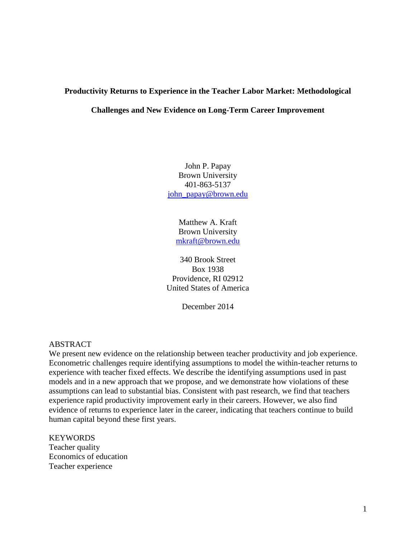# **Productivity Returns to Experience in the Teacher Labor Market: Methodological**

## **Challenges and New Evidence on Long-Term Career Improvement**

John P. Papay Brown University 401-863-5137 [john\\_papay@brown.edu](mailto:john_papay@brown.edu)

> Matthew A. Kraft Brown University [mkraft@brown.edu](mailto:mkraft@brown.edu)

340 Brook Street Box 1938 Providence, RI 02912 United States of America

December 2014

# ABSTRACT

We present new evidence on the relationship between teacher productivity and job experience. Econometric challenges require identifying assumptions to model the within-teacher returns to experience with teacher fixed effects. We describe the identifying assumptions used in past models and in a new approach that we propose, and we demonstrate how violations of these assumptions can lead to substantial bias. Consistent with past research, we find that teachers experience rapid productivity improvement early in their careers. However, we also find evidence of returns to experience later in the career, indicating that teachers continue to build human capital beyond these first years.

#### **KEYWORDS**

Teacher quality Economics of education Teacher experience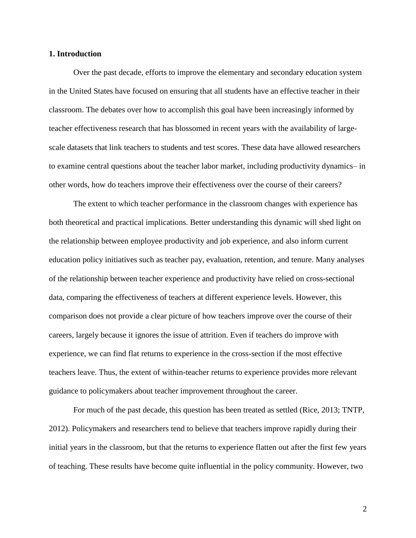#### **1. Introduction**

Over the past decade, efforts to improve the elementary and secondary education system in the United States have focused on ensuring that all students have an effective teacher in their classroom. The debates over how to accomplish this goal have been increasingly informed by teacher effectiveness research that has blossomed in recent years with the availability of largescale datasets that link teachers to students and test scores. These data have allowed researchers to examine central questions about the teacher labor market, including productivity dynamics– in other words, how do teachers improve their effectiveness over the course of their careers?

The extent to which teacher performance in the classroom changes with experience has both theoretical and practical implications. Better understanding this dynamic will shed light on the relationship between employee productivity and job experience, and also inform current education policy initiatives such as teacher pay, evaluation, retention, and tenure. Many analyses of the relationship between teacher experience and productivity have relied on cross-sectional data, comparing the effectiveness of teachers at different experience levels. However, this comparison does not provide a clear picture of how teachers improve over the course of their careers, largely because it ignores the issue of attrition. Even if teachers do improve with experience, we can find flat returns to experience in the cross-section if the most effective teachers leave. Thus, the extent of within-teacher returns to experience provides more relevant guidance to policymakers about teacher improvement throughout the career.

For much of the past decade, this question has been treated as settled (Rice, 2013; TNTP, 2012). Policymakers and researchers tend to believe that teachers improve rapidly during their initial years in the classroom, but that the returns to experience flatten out after the first few years of teaching. These results have become quite influential in the policy community. However, two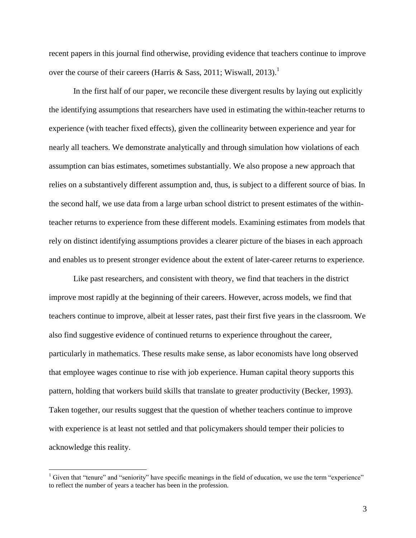recent papers in this journal find otherwise, providing evidence that teachers continue to improve over the course of their careers (Harris & Sass, 2011; Wiswall, 2013).<sup>1</sup>

In the first half of our paper, we reconcile these divergent results by laying out explicitly the identifying assumptions that researchers have used in estimating the within-teacher returns to experience (with teacher fixed effects), given the collinearity between experience and year for nearly all teachers. We demonstrate analytically and through simulation how violations of each assumption can bias estimates, sometimes substantially. We also propose a new approach that relies on a substantively different assumption and, thus, is subject to a different source of bias. In the second half, we use data from a large urban school district to present estimates of the withinteacher returns to experience from these different models. Examining estimates from models that rely on distinct identifying assumptions provides a clearer picture of the biases in each approach and enables us to present stronger evidence about the extent of later-career returns to experience.

Like past researchers, and consistent with theory, we find that teachers in the district improve most rapidly at the beginning of their careers. However, across models, we find that teachers continue to improve, albeit at lesser rates, past their first five years in the classroom. We also find suggestive evidence of continued returns to experience throughout the career, particularly in mathematics. These results make sense, as labor economists have long observed that employee wages continue to rise with job experience. Human capital theory supports this pattern, holding that workers build skills that translate to greater productivity (Becker, 1993). Taken together, our results suggest that the question of whether teachers continue to improve with experience is at least not settled and that policymakers should temper their policies to acknowledge this reality.

<sup>&</sup>lt;sup>1</sup> Given that "tenure" and "seniority" have specific meanings in the field of education, we use the term "experience" to reflect the number of years a teacher has been in the profession.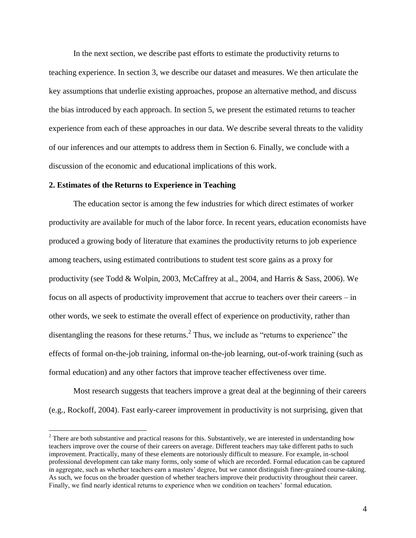In the next section, we describe past efforts to estimate the productivity returns to teaching experience. In section 3, we describe our dataset and measures. We then articulate the key assumptions that underlie existing approaches, propose an alternative method, and discuss the bias introduced by each approach. In section 5, we present the estimated returns to teacher experience from each of these approaches in our data. We describe several threats to the validity of our inferences and our attempts to address them in Section 6. Finally, we conclude with a discussion of the economic and educational implications of this work.

#### **2. Estimates of the Returns to Experience in Teaching**

 $\overline{a}$ 

The education sector is among the few industries for which direct estimates of worker productivity are available for much of the labor force. In recent years, education economists have produced a growing body of literature that examines the productivity returns to job experience among teachers, using estimated contributions to student test score gains as a proxy for productivity (see Todd & Wolpin, 2003, McCaffrey at al., 2004, and Harris & Sass, 2006). We focus on all aspects of productivity improvement that accrue to teachers over their careers – in other words, we seek to estimate the overall effect of experience on productivity, rather than disentangling the reasons for these returns. $^{2}$  Thus, we include as "returns to experience" the effects of formal on-the-job training, informal on-the-job learning, out-of-work training (such as formal education) and any other factors that improve teacher effectiveness over time.

Most research suggests that teachers improve a great deal at the beginning of their careers (e.g., Rockoff, 2004). Fast early-career improvement in productivity is not surprising, given that

<sup>&</sup>lt;sup>2</sup> There are both substantive and practical reasons for this. Substantively, we are interested in understanding how teachers improve over the course of their careers on average. Different teachers may take different paths to such improvement. Practically, many of these elements are notoriously difficult to measure. For example, in-school professional development can take many forms, only some of which are recorded. Formal education can be captured in aggregate, such as whether teachers earn a masters' degree, but we cannot distinguish finer-grained course-taking. As such, we focus on the broader question of whether teachers improve their productivity throughout their career. Finally, we find nearly identical returns to experience when we condition on teachers' formal education.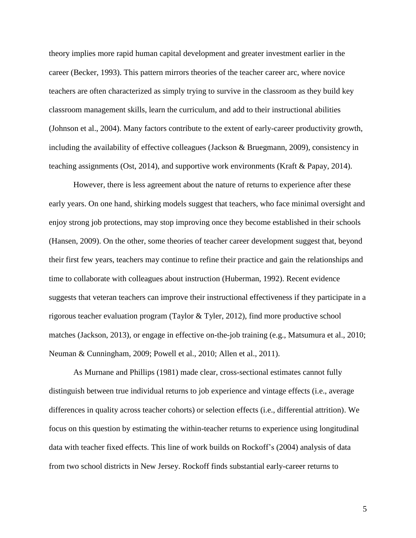theory implies more rapid human capital development and greater investment earlier in the career (Becker, 1993). This pattern mirrors theories of the teacher career arc, where novice teachers are often characterized as simply trying to survive in the classroom as they build key classroom management skills, learn the curriculum, and add to their instructional abilities (Johnson et al., 2004). Many factors contribute to the extent of early-career productivity growth, including the availability of effective colleagues (Jackson & Bruegmann, 2009), consistency in teaching assignments (Ost, 2014), and supportive work environments (Kraft & Papay, 2014).

However, there is less agreement about the nature of returns to experience after these early years. On one hand, shirking models suggest that teachers, who face minimal oversight and enjoy strong job protections, may stop improving once they become established in their schools (Hansen, 2009). On the other, some theories of teacher career development suggest that, beyond their first few years, teachers may continue to refine their practice and gain the relationships and time to collaborate with colleagues about instruction (Huberman, 1992). Recent evidence suggests that veteran teachers can improve their instructional effectiveness if they participate in a rigorous teacher evaluation program (Taylor & Tyler, 2012), find more productive school matches (Jackson, 2013), or engage in effective on-the-job training (e.g., Matsumura et al., 2010; Neuman & Cunningham, 2009; Powell et al., 2010; Allen et al., 2011).

As Murnane and Phillips (1981) made clear, cross-sectional estimates cannot fully distinguish between true individual returns to job experience and vintage effects (i.e., average differences in quality across teacher cohorts) or selection effects (i.e., differential attrition). We focus on this question by estimating the within-teacher returns to experience using longitudinal data with teacher fixed effects. This line of work builds on Rockoff's (2004) analysis of data from two school districts in New Jersey. Rockoff finds substantial early-career returns to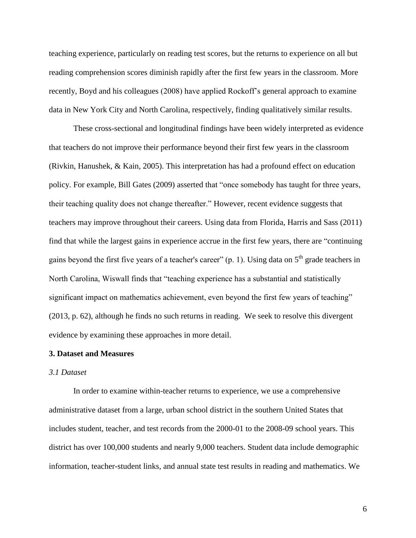teaching experience, particularly on reading test scores, but the returns to experience on all but reading comprehension scores diminish rapidly after the first few years in the classroom. More recently, Boyd and his colleagues (2008) have applied Rockoff's general approach to examine data in New York City and North Carolina, respectively, finding qualitatively similar results.

These cross-sectional and longitudinal findings have been widely interpreted as evidence that teachers do not improve their performance beyond their first few years in the classroom (Rivkin, Hanushek, & Kain, 2005). This interpretation has had a profound effect on education policy. For example, Bill Gates (2009) asserted that "once somebody has taught for three years, their teaching quality does not change thereafter." However, recent evidence suggests that teachers may improve throughout their careers. Using data from Florida, Harris and Sass (2011) find that while the largest gains in experience accrue in the first few years, there are "continuing gains beyond the first five years of a teacher's career" (p. 1). Using data on  $5<sup>th</sup>$  grade teachers in North Carolina, Wiswall finds that "teaching experience has a substantial and statistically significant impact on mathematics achievement, even beyond the first few years of teaching" (2013, p. 62), although he finds no such returns in reading. We seek to resolve this divergent evidence by examining these approaches in more detail.

#### **3. Dataset and Measures**

#### *3.1 Dataset*

In order to examine within-teacher returns to experience, we use a comprehensive administrative dataset from a large, urban school district in the southern United States that includes student, teacher, and test records from the 2000-01 to the 2008-09 school years. This district has over 100,000 students and nearly 9,000 teachers. Student data include demographic information, teacher-student links, and annual state test results in reading and mathematics. We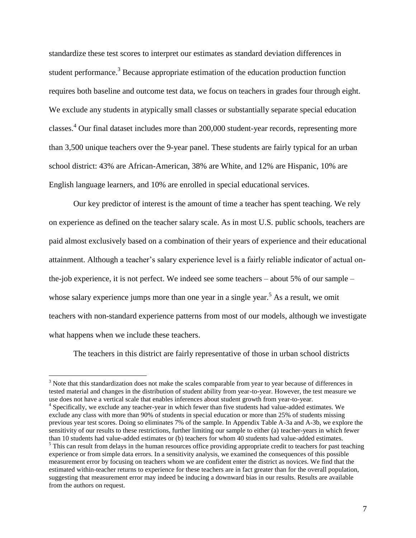standardize these test scores to interpret our estimates as standard deviation differences in student performance.<sup>3</sup> Because appropriate estimation of the education production function requires both baseline and outcome test data, we focus on teachers in grades four through eight. We exclude any students in atypically small classes or substantially separate special education classes.<sup>4</sup> Our final dataset includes more than 200,000 student-year records, representing more than 3,500 unique teachers over the 9-year panel. These students are fairly typical for an urban school district: 43% are African-American, 38% are White, and 12% are Hispanic, 10% are English language learners, and 10% are enrolled in special educational services.

Our key predictor of interest is the amount of time a teacher has spent teaching. We rely on experience as defined on the teacher salary scale. As in most U.S. public schools, teachers are paid almost exclusively based on a combination of their years of experience and their educational attainment. Although a teacher's salary experience level is a fairly reliable indicator of actual onthe-job experience, it is not perfect. We indeed see some teachers – about 5% of our sample – whose salary experience jumps more than one year in a single year.<sup>5</sup> As a result, we omit teachers with non-standard experience patterns from most of our models, although we investigate what happens when we include these teachers.

The teachers in this district are fairly representative of those in urban school districts

<sup>&</sup>lt;sup>3</sup> Note that this standardization does not make the scales comparable from year to year because of differences in tested material and changes in the distribution of student ability from year-to-year. However, the test measure we use does not have a vertical scale that enables inferences about student growth from year-to-year.

<sup>&</sup>lt;sup>4</sup> Specifically, we exclude any teacher-year in which fewer than five students had value-added estimates. We exclude any class with more than 90% of students in special education or more than 25% of students missing previous year test scores. Doing so eliminates 7% of the sample. In Appendix Table A-3a and A-3b, we explore the sensitivity of our results to these restrictions, further limiting our sample to either (a) teacher-years in which fewer than 10 students had value-added estimates or (b) teachers for whom 40 students had value-added estimates. <sup>5</sup> This can result from delays in the human resources office providing appropriate credit to teachers for past teaching

experience or from simple data errors. In a sensitivity analysis, we examined the consequences of this possible measurement error by focusing on teachers whom we are confident enter the district as novices. We find that the estimated within-teacher returns to experience for these teachers are in fact greater than for the overall population, suggesting that measurement error may indeed be inducing a downward bias in our results. Results are available from the authors on request.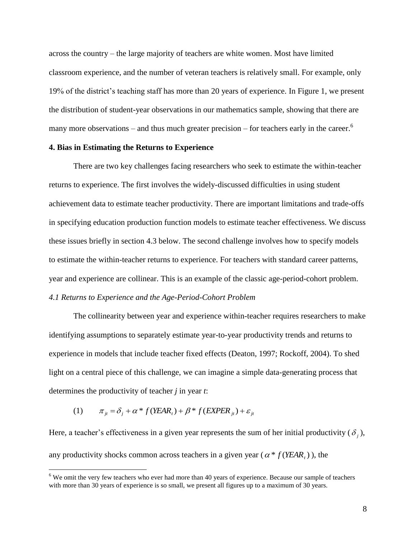across the country – the large majority of teachers are white women. Most have limited classroom experience, and the number of veteran teachers is relatively small. For example, only 19% of the district's teaching staff has more than 20 years of experience. In Figure 1, we present the distribution of student-year observations in our mathematics sample, showing that there are many more observations – and thus much greater precision – for teachers early in the career.<sup>6</sup>

#### **4. Bias in Estimating the Returns to Experience**

There are two key challenges facing researchers who seek to estimate the within-teacher returns to experience. The first involves the widely-discussed difficulties in using student achievement data to estimate teacher productivity. There are important limitations and trade-offs in specifying education production function models to estimate teacher effectiveness. We discuss these issues briefly in section 4.3 below. The second challenge involves how to specify models to estimate the within-teacher returns to experience. For teachers with standard career patterns, year and experience are collinear. This is an example of the classic age-period-cohort problem. *4.1 Returns to Experience and the Age-Period-Cohort Problem*

The collinearity between year and experience within-teacher requires researchers to make identifying assumptions to separately estimate year-to-year productivity trends and returns to experience in models that include teacher fixed effects (Deaton, 1997; Rockoff, 2004). To shed light on a central piece of this challenge, we can imagine a simple data-generating process that determines the productivity of teacher *j* in year *t*:

(1) 
$$
\pi_{ji} = \delta_j + \alpha * f(YEAR_t) + \beta * f(EXPER_{jt}) + \varepsilon_{jt}
$$

 $\overline{a}$ 

Here, a teacher's effectiveness in a given year represents the sum of her initial productivity  $(\delta_j)$ , any productivity shocks common across teachers in a given year ( $\alpha * f(YEAR_t)$ ), the

<sup>6</sup> We omit the very few teachers who ever had more than 40 years of experience. Because our sample of teachers with more than 30 years of experience is so small, we present all figures up to a maximum of 30 years.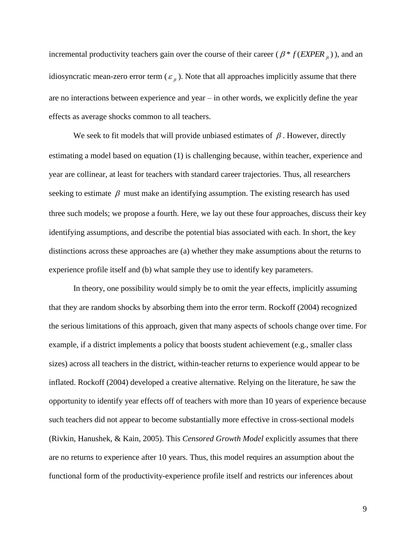incremental productivity teachers gain over the course of their career ( $\beta * f$  (*EXPER*  $_{it}$ )), and an idiosyncratic mean-zero error term  $(\varepsilon_{jt})$ . Note that all approaches implicitly assume that there are no interactions between experience and year – in other words, we explicitly define the year effects as average shocks common to all teachers.

We seek to fit models that will provide unbiased estimates of  $\beta$ . However, directly estimating a model based on equation (1) is challenging because, within teacher, experience and year are collinear, at least for teachers with standard career trajectories. Thus, all researchers seeking to estimate  $\beta$  must make an identifying assumption. The existing research has used three such models; we propose a fourth. Here, we lay out these four approaches, discuss their key identifying assumptions, and describe the potential bias associated with each. In short, the key distinctions across these approaches are (a) whether they make assumptions about the returns to experience profile itself and (b) what sample they use to identify key parameters.

In theory, one possibility would simply be to omit the year effects, implicitly assuming that they are random shocks by absorbing them into the error term. Rockoff (2004) recognized the serious limitations of this approach, given that many aspects of schools change over time. For example, if a district implements a policy that boosts student achievement (e.g., smaller class sizes) across all teachers in the district, within-teacher returns to experience would appear to be inflated. Rockoff (2004) developed a creative alternative. Relying on the literature, he saw the opportunity to identify year effects off of teachers with more than 10 years of experience because such teachers did not appear to become substantially more effective in cross-sectional models (Rivkin, Hanushek, & Kain, 2005). This *Censored Growth Model* explicitly assumes that there are no returns to experience after 10 years. Thus, this model requires an assumption about the functional form of the productivity-experience profile itself and restricts our inferences about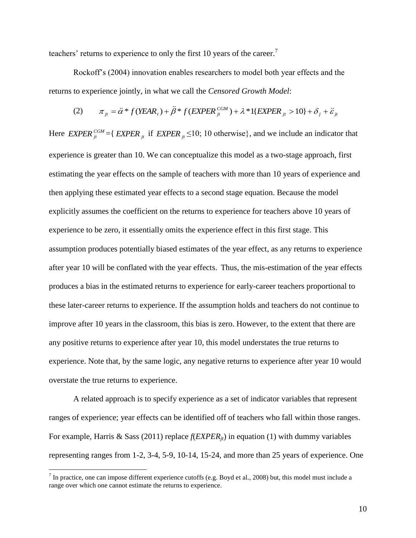teachers' returns to experience to only the first 10 years of the career.<sup>7</sup>

Rockoff's (2004) innovation enables researchers to model both year effects and the returns to experience jointly, in what we call the *Censored Growth Model*:

(2) 
$$
\pi_{ji} = \ddot{\alpha} * f(YEAR_i) + \ddot{\beta} * f(EXPER_{ji}^{CGM}) + \lambda * 1\{EXPER_{ji} > 10\} + \delta_j + \ddot{\varepsilon}_{ji}
$$

Here  $EXPER_{it}^{CGM} = \{ EXPER_{it}^{T} \text{ if } EXPER_{it} \leq 10; 10 \text{ otherwise} \}$ , and we include an indicator that experience is greater than 10. We can conceptualize this model as a two-stage approach, first estimating the year effects on the sample of teachers with more than 10 years of experience and then applying these estimated year effects to a second stage equation. Because the model explicitly assumes the coefficient on the returns to experience for teachers above 10 years of experience to be zero, it essentially omits the experience effect in this first stage. This assumption produces potentially biased estimates of the year effect, as any returns to experience after year 10 will be conflated with the year effects. Thus, the mis-estimation of the year effects produces a bias in the estimated returns to experience for early-career teachers proportional to these later-career returns to experience. If the assumption holds and teachers do not continue to improve after 10 years in the classroom, this bias is zero. However, to the extent that there are any positive returns to experience after year 10, this model understates the true returns to experience. Note that, by the same logic, any negative returns to experience after year 10 would overstate the true returns to experience.

A related approach is to specify experience as a set of indicator variables that represent ranges of experience; year effects can be identified off of teachers who fall within those ranges. For example, Harris & Sass (2011) replace *f*(*EXPERjt*) in equation (1) with dummy variables representing ranges from 1-2, 3-4, 5-9, 10-14, 15-24, and more than 25 years of experience. One

<sup>&</sup>lt;sup>7</sup> In practice, one can impose different experience cutoffs (e.g. Boyd et al., 2008) but, this model must include a range over which one cannot estimate the returns to experience.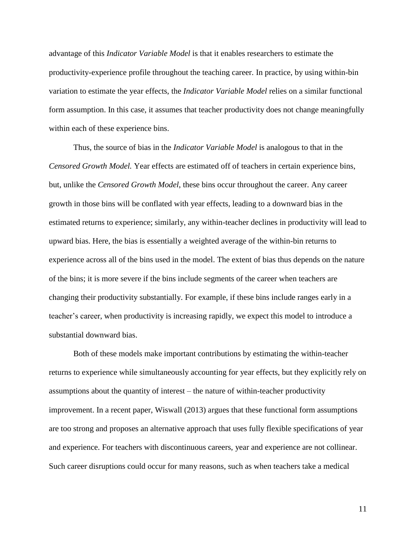advantage of this *Indicator Variable Model* is that it enables researchers to estimate the productivity-experience profile throughout the teaching career. In practice, by using within-bin variation to estimate the year effects, the *Indicator Variable Model* relies on a similar functional form assumption. In this case, it assumes that teacher productivity does not change meaningfully within each of these experience bins.

Thus, the source of bias in the *Indicator Variable Model* is analogous to that in the *Censored Growth Model.* Year effects are estimated off of teachers in certain experience bins, but, unlike the *Censored Growth Model*, these bins occur throughout the career. Any career growth in those bins will be conflated with year effects, leading to a downward bias in the estimated returns to experience; similarly, any within-teacher declines in productivity will lead to upward bias. Here, the bias is essentially a weighted average of the within-bin returns to experience across all of the bins used in the model. The extent of bias thus depends on the nature of the bins; it is more severe if the bins include segments of the career when teachers are changing their productivity substantially. For example, if these bins include ranges early in a teacher's career, when productivity is increasing rapidly, we expect this model to introduce a substantial downward bias.

Both of these models make important contributions by estimating the within-teacher returns to experience while simultaneously accounting for year effects, but they explicitly rely on assumptions about the quantity of interest – the nature of within-teacher productivity improvement. In a recent paper, Wiswall (2013) argues that these functional form assumptions are too strong and proposes an alternative approach that uses fully flexible specifications of year and experience. For teachers with discontinuous careers, year and experience are not collinear. Such career disruptions could occur for many reasons, such as when teachers take a medical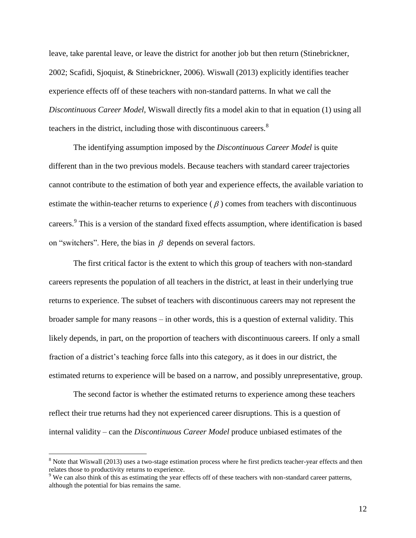leave, take parental leave, or leave the district for another job but then return (Stinebrickner, 2002; Scafidi, Sjoquist, & Stinebrickner, 2006). Wiswall (2013) explicitly identifies teacher experience effects off of these teachers with non-standard patterns. In what we call the *Discontinuous Career Model*, Wiswall directly fits a model akin to that in equation (1) using all teachers in the district, including those with discontinuous careers.<sup>8</sup>

The identifying assumption imposed by the *Discontinuous Career Model* is quite different than in the two previous models. Because teachers with standard career trajectories cannot contribute to the estimation of both year and experience effects, the available variation to estimate the within-teacher returns to experience  $(\beta)$  comes from teachers with discontinuous careers.<sup>9</sup> This is a version of the standard fixed effects assumption, where identification is based on "switchers". Here, the bias in  $\beta$  depends on several factors.

The first critical factor is the extent to which this group of teachers with non-standard careers represents the population of all teachers in the district, at least in their underlying true returns to experience. The subset of teachers with discontinuous careers may not represent the broader sample for many reasons – in other words, this is a question of external validity. This likely depends, in part, on the proportion of teachers with discontinuous careers. If only a small fraction of a district's teaching force falls into this category, as it does in our district, the estimated returns to experience will be based on a narrow, and possibly unrepresentative, group.

The second factor is whether the estimated returns to experience among these teachers reflect their true returns had they not experienced career disruptions. This is a question of internal validity – can the *Discontinuous Career Model* produce unbiased estimates of the

 $8$  Note that Wiswall (2013) uses a two-stage estimation process where he first predicts teacher-year effects and then relates those to productivity returns to experience.

<sup>&</sup>lt;sup>9</sup> We can also think of this as estimating the year effects off of these teachers with non-standard career patterns, although the potential for bias remains the same.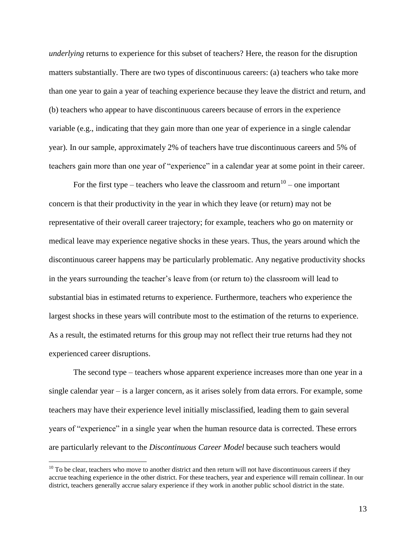*underlying* returns to experience for this subset of teachers? Here, the reason for the disruption matters substantially. There are two types of discontinuous careers: (a) teachers who take more than one year to gain a year of teaching experience because they leave the district and return, and (b) teachers who appear to have discontinuous careers because of errors in the experience variable (e.g., indicating that they gain more than one year of experience in a single calendar year). In our sample, approximately 2% of teachers have true discontinuous careers and 5% of teachers gain more than one year of "experience" in a calendar year at some point in their career.

For the first type – teachers who leave the classroom and return<sup>10</sup> – one important concern is that their productivity in the year in which they leave (or return) may not be representative of their overall career trajectory; for example, teachers who go on maternity or medical leave may experience negative shocks in these years. Thus, the years around which the discontinuous career happens may be particularly problematic. Any negative productivity shocks in the years surrounding the teacher's leave from (or return to) the classroom will lead to substantial bias in estimated returns to experience. Furthermore, teachers who experience the largest shocks in these years will contribute most to the estimation of the returns to experience. As a result, the estimated returns for this group may not reflect their true returns had they not experienced career disruptions.

The second type – teachers whose apparent experience increases more than one year in a single calendar year – is a larger concern, as it arises solely from data errors. For example, some teachers may have their experience level initially misclassified, leading them to gain several years of "experience" in a single year when the human resource data is corrected. These errors are particularly relevant to the *Discontinuous Career Model* because such teachers would

 $10$  To be clear, teachers who move to another district and then return will not have discontinuous careers if they accrue teaching experience in the other district. For these teachers, year and experience will remain collinear. In our district, teachers generally accrue salary experience if they work in another public school district in the state.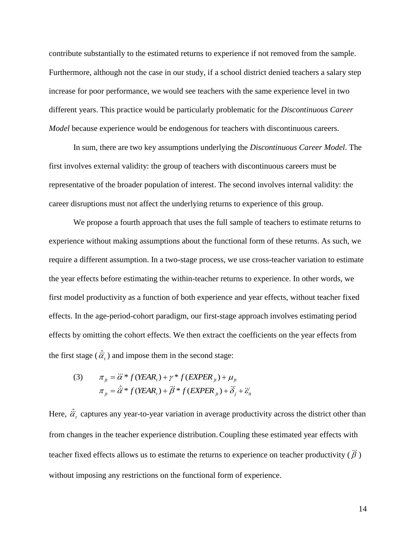contribute substantially to the estimated returns to experience if not removed from the sample. Furthermore, although not the case in our study, if a school district denied teachers a salary step increase for poor performance, we would see teachers with the same experience level in two different years. This practice would be particularly problematic for the *Discontinuous Career Model* because experience would be endogenous for teachers with discontinuous careers.

In sum, there are two key assumptions underlying the *Discontinuous Career Model*. The first involves external validity: the group of teachers with discontinuous careers must be representative of the broader population of interest. The second involves internal validity: the career disruptions must not affect the underlying returns to experience of this group.

We propose a fourth approach that uses the full sample of teachers to estimate returns to experience without making assumptions about the functional form of these returns. As such, we require a different assumption. In a two-stage process, we use cross-teacher variation to estimate the year effects before estimating the within-teacher returns to experience. In other words, we first model productivity as a function of both experience and year effects, without teacher fixed effects. In the age-period-cohort paradigm, our first-stage approach involves estimating period effects by omitting the cohort effects. We then extract the coefficients on the year effects from the first stage  $(\hat{\alpha}_i)$  and impose them in the second stage:

(3) 
$$
\pi_{ji} = \ddot{\alpha} * f(YEAR_i) + \gamma * f(EXPER_{ji}) + \mu_{ji}
$$

$$
\pi_{ji} = \hat{\alpha} * f(YEAR_i) + \ddot{\beta} * f(EXPER_{ji}) + \ddot{\delta}_j + \ddot{\epsilon}_{ii}
$$

Here,  $\hat{a}_i$  captures any year-to-year variation in average productivity across the district other than from changes in the teacher experience distribution. Coupling these estimated year effects with teacher fixed effects allows us to estimate the returns to experience on teacher productivity ( $\dddot{\beta}$ ) without imposing any restrictions on the functional form of experience.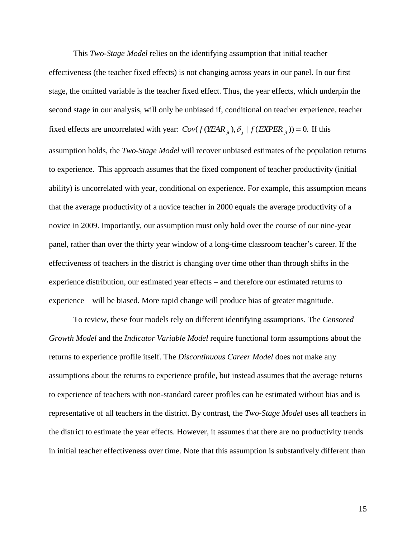This *Two-Stage Model* relies on the identifying assumption that initial teacher effectiveness (the teacher fixed effects) is not changing across years in our panel. In our first stage, the omitted variable is the teacher fixed effect. Thus, the year effects, which underpin the second stage in our analysis, will only be unbiased if, conditional on teacher experience, teacher fixed effects are uncorrelated with year:  $Cov(f(YEAR_{it}), \delta_j | f(EXPER_{it})) = 0$ . If this assumption holds, the *Two-Stage Model* will recover unbiased estimates of the population returns to experience. This approach assumes that the fixed component of teacher productivity (initial ability) is uncorrelated with year, conditional on experience. For example, this assumption means that the average productivity of a novice teacher in 2000 equals the average productivity of a novice in 2009. Importantly, our assumption must only hold over the course of our nine-year panel, rather than over the thirty year window of a long-time classroom teacher's career. If the effectiveness of teachers in the district is changing over time other than through shifts in the experience distribution, our estimated year effects – and therefore our estimated returns to experience – will be biased. More rapid change will produce bias of greater magnitude.

To review, these four models rely on different identifying assumptions. The *Censored Growth Model* and the *Indicator Variable Model* require functional form assumptions about the returns to experience profile itself. The *Discontinuous Career Model* does not make any assumptions about the returns to experience profile, but instead assumes that the average returns to experience of teachers with non-standard career profiles can be estimated without bias and is representative of all teachers in the district. By contrast, the *Two-Stage Model* uses all teachers in the district to estimate the year effects. However, it assumes that there are no productivity trends in initial teacher effectiveness over time. Note that this assumption is substantively different than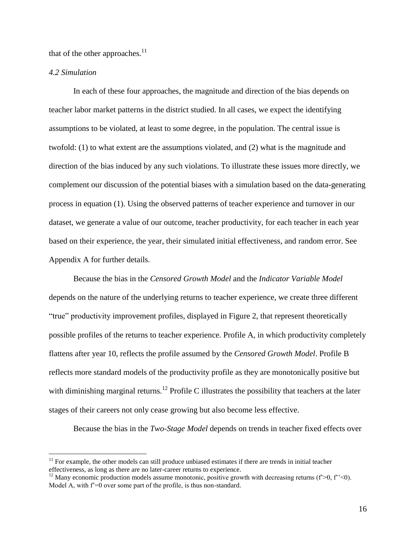that of the other approaches. $^{11}$ 

#### *4.2 Simulation*

 $\overline{a}$ 

In each of these four approaches, the magnitude and direction of the bias depends on teacher labor market patterns in the district studied. In all cases, we expect the identifying assumptions to be violated, at least to some degree, in the population. The central issue is twofold: (1) to what extent are the assumptions violated, and (2) what is the magnitude and direction of the bias induced by any such violations. To illustrate these issues more directly, we complement our discussion of the potential biases with a simulation based on the data-generating process in equation (1). Using the observed patterns of teacher experience and turnover in our dataset, we generate a value of our outcome, teacher productivity, for each teacher in each year based on their experience, the year, their simulated initial effectiveness, and random error. See Appendix A for further details.

Because the bias in the *Censored Growth Model* and the *Indicator Variable Model*  depends on the nature of the underlying returns to teacher experience, we create three different "true" productivity improvement profiles, displayed in Figure 2, that represent theoretically possible profiles of the returns to teacher experience. Profile A, in which productivity completely flattens after year 10, reflects the profile assumed by the *Censored Growth Model*. Profile B reflects more standard models of the productivity profile as they are monotonically positive but with diminishing marginal returns.<sup>12</sup> Profile C illustrates the possibility that teachers at the later stages of their careers not only cease growing but also become less effective.

Because the bias in the *Two-Stage Model* depends on trends in teacher fixed effects over

 $11$  For example, the other models can still produce unbiased estimates if there are trends in initial teacher effectiveness, as long as there are no later-career returns to experience.

<sup>&</sup>lt;sup>12</sup> Many economic production models assume monotonic, positive growth with decreasing returns ( $f$ >0,  $f$ '<0). Model A, with  $f'=0$  over some part of the profile, is thus non-standard.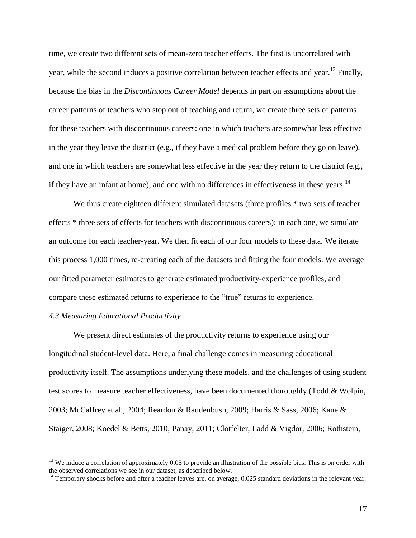time, we create two different sets of mean-zero teacher effects. The first is uncorrelated with year, while the second induces a positive correlation between teacher effects and year.<sup>13</sup> Finally, because the bias in the *Discontinuous Career Model* depends in part on assumptions about the career patterns of teachers who stop out of teaching and return, we create three sets of patterns for these teachers with discontinuous careers: one in which teachers are somewhat less effective in the year they leave the district (e.g., if they have a medical problem before they go on leave), and one in which teachers are somewhat less effective in the year they return to the district (e.g., if they have an infant at home), and one with no differences in effectiveness in these years.<sup>14</sup>

We thus create eighteen different simulated datasets (three profiles  $*$  two sets of teacher effects \* three sets of effects for teachers with discontinuous careers); in each one, we simulate an outcome for each teacher-year. We then fit each of our four models to these data. We iterate this process 1,000 times, re-creating each of the datasets and fitting the four models. We average our fitted parameter estimates to generate estimated productivity-experience profiles, and compare these estimated returns to experience to the "true" returns to experience.

#### *4.3 Measuring Educational Productivity*

 $\overline{a}$ 

We present direct estimates of the productivity returns to experience using our longitudinal student-level data. Here, a final challenge comes in measuring educational productivity itself. The assumptions underlying these models, and the challenges of using student test scores to measure teacher effectiveness, have been documented thoroughly (Todd & Wolpin, 2003; McCaffrey et al., 2004; Reardon & Raudenbush, 2009; Harris & Sass, 2006; Kane & Staiger, 2008; Koedel & Betts, 2010; Papay, 2011; Clotfelter, Ladd & Vigdor, 2006; Rothstein,

<sup>&</sup>lt;sup>13</sup> We induce a correlation of approximately 0.05 to provide an illustration of the possible bias. This is on order with the observed correlations we see in our dataset, as described below.

 $14$  Temporary shocks before and after a teacher leaves are, on average, 0.025 standard deviations in the relevant year.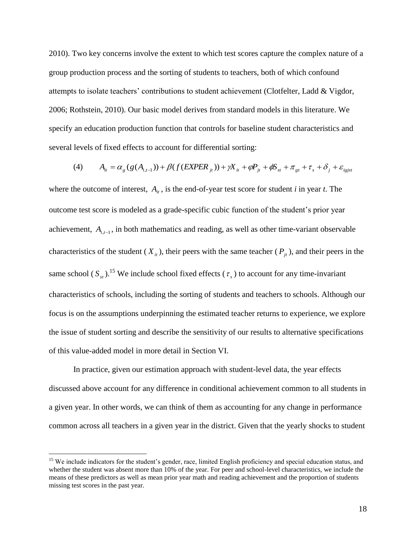2010). Two key concerns involve the extent to which test scores capture the complex nature of a group production process and the sorting of students to teachers, both of which confound attempts to isolate teachers' contributions to student achievement (Clotfelter, Ladd & Vigdor, 2006; Rothstein, 2010). Our basic model derives from standard models in this literature. We specify an education production function that controls for baseline student characteristics and several levels of fixed effects to account for differential sorting:

(4) 
$$
A_{it} = \alpha_g (g(A_{i,t-1})) + \beta(f(EXPER_{jt})) + \gamma X_{it} + \varphi P_{jt} + \varphi S_{st} + \pi_{gt} + \tau_s + \delta_j + \varepsilon_{igjst}
$$

where the outcome of interest,  $A_{it}$ , is the end-of-year test score for student *i* in year *t*. The outcome test score is modeled as a grade-specific cubic function of the student's prior year achievement,  $A_{i,t-1}$ , in both mathematics and reading, as well as other time-variant observable characteristics of the student ( $X_i$ ), their peers with the same teacher ( $P_i$ ), and their peers in the same school  $(S_{st})$ .<sup>15</sup> We include school fixed effects  $(\tau_s)$  to account for any time-invariant characteristics of schools, including the sorting of students and teachers to schools. Although our focus is on the assumptions underpinning the estimated teacher returns to experience, we explore the issue of student sorting and describe the sensitivity of our results to alternative specifications of this value-added model in more detail in Section VI.

In practice, given our estimation approach with student-level data, the year effects discussed above account for any difference in conditional achievement common to all students in a given year. In other words, we can think of them as accounting for any change in performance common across all teachers in a given year in the district. Given that the yearly shocks to student

<sup>&</sup>lt;sup>15</sup> We include indicators for the student's gender, race, limited English proficiency and special education status, and whether the student was absent more than 10% of the year. For peer and school-level characteristics, we include the means of these predictors as well as mean prior year math and reading achievement and the proportion of students missing test scores in the past year.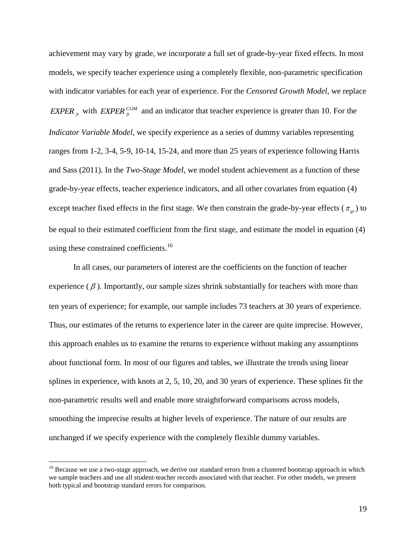achievement may vary by grade, we incorporate a full set of grade-by-year fixed effects. In most models, we specify teacher experience using a completely flexible, non-parametric specification with indicator variables for each year of experience. For the *Censored Growth Model*, we replace *EXPER*  $_{jt}$  with *EXPER*  $_{jt}^{COM}$  and an indicator that teacher experience is greater than 10. For the *Indicator Variable Model*, we specify experience as a series of dummy variables representing ranges from 1-2, 3-4, 5-9, 10-14, 15-24, and more than 25 years of experience following Harris and Sass (2011). In the *Two-Stage Model*, we model student achievement as a function of these grade-by-year effects, teacher experience indicators, and all other covariates from equation (4) except teacher fixed effects in the first stage. We then constrain the grade-by-year effects  $(\pi_{gt})$  to be equal to their estimated coefficient from the first stage, and estimate the model in equation (4) using these constrained coefficients.<sup>16</sup>

In all cases, our parameters of interest are the coefficients on the function of teacher experience  $(\beta)$ . Importantly, our sample sizes shrink substantially for teachers with more than ten years of experience; for example, our sample includes 73 teachers at 30 years of experience. Thus, our estimates of the returns to experience later in the career are quite imprecise. However, this approach enables us to examine the returns to experience without making any assumptions about functional form. In most of our figures and tables, we illustrate the trends using linear splines in experience, with knots at 2, 5, 10, 20, and 30 years of experience. These splines fit the non-parametric results well and enable more straightforward comparisons across models, smoothing the imprecise results at higher levels of experience. The nature of our results are unchanged if we specify experience with the completely flexible dummy variables.

<sup>&</sup>lt;sup>16</sup> Because we use a two-stage approach, we derive our standard errors from a clustered bootstrap approach in which we sample teachers and use all student-teacher records associated with that teacher. For other models, we present both typical and bootstrap standard errors for comparison.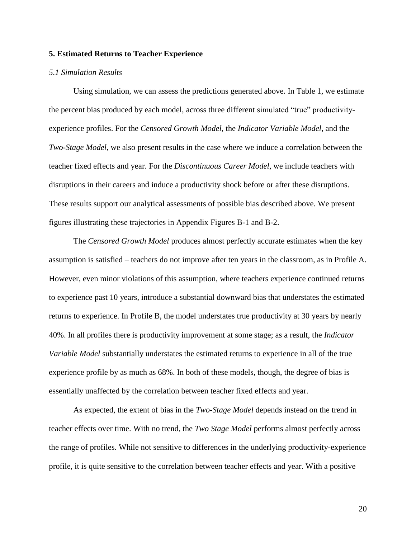#### **5. Estimated Returns to Teacher Experience**

#### *5.1 Simulation Results*

Using simulation, we can assess the predictions generated above. In Table 1, we estimate the percent bias produced by each model, across three different simulated "true" productivityexperience profiles. For the *Censored Growth Model,* the *Indicator Variable Model*, and the *Two-Stage Model*, we also present results in the case where we induce a correlation between the teacher fixed effects and year. For the *Discontinuous Career Model*, we include teachers with disruptions in their careers and induce a productivity shock before or after these disruptions. These results support our analytical assessments of possible bias described above. We present figures illustrating these trajectories in Appendix Figures B-1 and B-2.

The *Censored Growth Model* produces almost perfectly accurate estimates when the key assumption is satisfied – teachers do not improve after ten years in the classroom, as in Profile A. However, even minor violations of this assumption, where teachers experience continued returns to experience past 10 years, introduce a substantial downward bias that understates the estimated returns to experience. In Profile B, the model understates true productivity at 30 years by nearly 40%. In all profiles there is productivity improvement at some stage; as a result, the *Indicator Variable Model* substantially understates the estimated returns to experience in all of the true experience profile by as much as 68%. In both of these models, though, the degree of bias is essentially unaffected by the correlation between teacher fixed effects and year.

As expected, the extent of bias in the *Two-Stage Model* depends instead on the trend in teacher effects over time. With no trend, the *Two Stage Model* performs almost perfectly across the range of profiles. While not sensitive to differences in the underlying productivity-experience profile, it is quite sensitive to the correlation between teacher effects and year. With a positive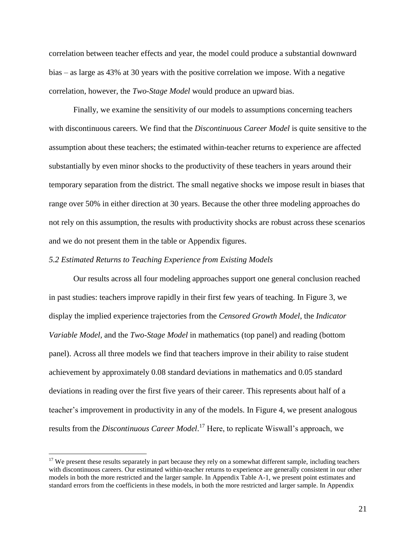correlation between teacher effects and year, the model could produce a substantial downward bias – as large as 43% at 30 years with the positive correlation we impose. With a negative correlation, however, the *Two-Stage Model* would produce an upward bias.

Finally, we examine the sensitivity of our models to assumptions concerning teachers with discontinuous careers. We find that the *Discontinuous Career Model* is quite sensitive to the assumption about these teachers; the estimated within-teacher returns to experience are affected substantially by even minor shocks to the productivity of these teachers in years around their temporary separation from the district. The small negative shocks we impose result in biases that range over 50% in either direction at 30 years. Because the other three modeling approaches do not rely on this assumption, the results with productivity shocks are robust across these scenarios and we do not present them in the table or Appendix figures.

#### *5.2 Estimated Returns to Teaching Experience from Existing Models*

 $\overline{a}$ 

Our results across all four modeling approaches support one general conclusion reached in past studies: teachers improve rapidly in their first few years of teaching. In Figure 3, we display the implied experience trajectories from the *Censored Growth Model*, the *Indicator Variable Model,* and the *Two-Stage Model* in mathematics (top panel) and reading (bottom panel). Across all three models we find that teachers improve in their ability to raise student achievement by approximately 0.08 standard deviations in mathematics and 0.05 standard deviations in reading over the first five years of their career. This represents about half of a teacher's improvement in productivity in any of the models. In Figure 4, we present analogous results from the *Discontinuous Career Model*. <sup>17</sup> Here, to replicate Wiswall's approach, we

 $17$  We present these results separately in part because they rely on a somewhat different sample, including teachers with discontinuous careers. Our estimated within-teacher returns to experience are generally consistent in our other models in both the more restricted and the larger sample. In Appendix Table A-1, we present point estimates and standard errors from the coefficients in these models, in both the more restricted and larger sample. In Appendix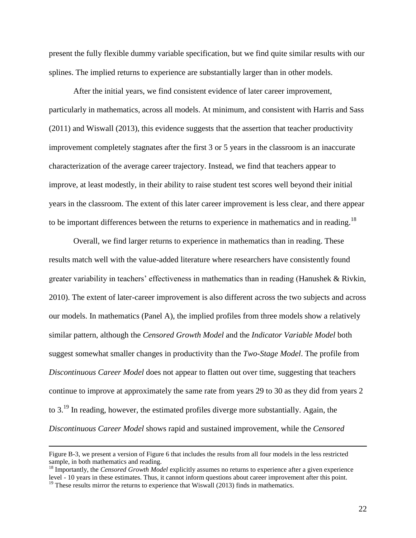present the fully flexible dummy variable specification, but we find quite similar results with our splines. The implied returns to experience are substantially larger than in other models.

After the initial years, we find consistent evidence of later career improvement, particularly in mathematics, across all models. At minimum, and consistent with Harris and Sass (2011) and Wiswall (2013), this evidence suggests that the assertion that teacher productivity improvement completely stagnates after the first 3 or 5 years in the classroom is an inaccurate characterization of the average career trajectory. Instead, we find that teachers appear to improve, at least modestly, in their ability to raise student test scores well beyond their initial years in the classroom. The extent of this later career improvement is less clear, and there appear to be important differences between the returns to experience in mathematics and in reading.<sup>18</sup>

Overall, we find larger returns to experience in mathematics than in reading. These results match well with the value-added literature where researchers have consistently found greater variability in teachers' effectiveness in mathematics than in reading (Hanushek & Rivkin, 2010). The extent of later-career improvement is also different across the two subjects and across our models. In mathematics (Panel A), the implied profiles from three models show a relatively similar pattern, although the *Censored Growth Model* and the *Indicator Variable Model* both suggest somewhat smaller changes in productivity than the *Two-Stage Model*. The profile from *Discontinuous Career Model* does not appear to flatten out over time, suggesting that teachers continue to improve at approximately the same rate from years 29 to 30 as they did from years 2 to 3.<sup>19</sup> In reading, however, the estimated profiles diverge more substantially. Again, the *Discontinuous Career Model* shows rapid and sustained improvement, while the *Censored* 

Figure B-3, we present a version of Figure 6 that includes the results from all four models in the less restricted sample, in both mathematics and reading.

<sup>&</sup>lt;sup>18</sup> Importantly, the *Censored Growth Model* explicitly assumes no returns to experience after a given experience level - 10 years in these estimates. Thus, it cannot inform questions about career improvement after this point.  $19$  These results mirror the returns to experience that Wiswall (2013) finds in mathematics.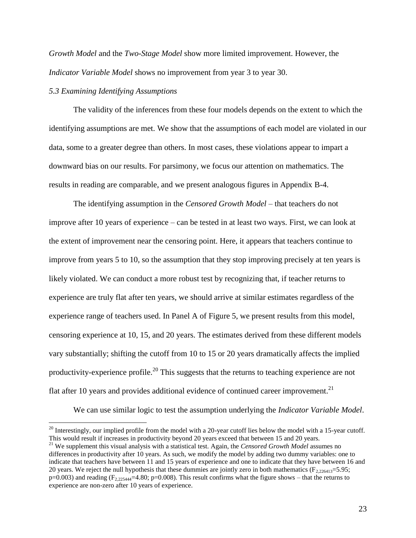*Growth Model* and the *Two-Stage Model* show more limited improvement. However, the *Indicator Variable Model* shows no improvement from year 3 to year 30.

#### *5.3 Examining Identifying Assumptions*

 $\overline{a}$ 

The validity of the inferences from these four models depends on the extent to which the identifying assumptions are met. We show that the assumptions of each model are violated in our data, some to a greater degree than others. In most cases, these violations appear to impart a downward bias on our results. For parsimony, we focus our attention on mathematics. The results in reading are comparable, and we present analogous figures in Appendix B-4.

The identifying assumption in the *Censored Growth Model* – that teachers do not improve after 10 years of experience – can be tested in at least two ways. First, we can look at the extent of improvement near the censoring point. Here, it appears that teachers continue to improve from years 5 to 10, so the assumption that they stop improving precisely at ten years is likely violated. We can conduct a more robust test by recognizing that, if teacher returns to experience are truly flat after ten years, we should arrive at similar estimates regardless of the experience range of teachers used. In Panel A of Figure 5, we present results from this model, censoring experience at 10, 15, and 20 years. The estimates derived from these different models vary substantially; shifting the cutoff from 10 to 15 or 20 years dramatically affects the implied productivity-experience profile.<sup>20</sup> This suggests that the returns to teaching experience are not flat after 10 years and provides additional evidence of continued career improvement.<sup>21</sup>

We can use similar logic to test the assumption underlying the *Indicator Variable Model*.

 $^{20}$  Interestingly, our implied profile from the model with a 20-year cutoff lies below the model with a 15-year cutoff. This would result if increases in productivity beyond 20 years exceed that between 15 and 20 years.

<sup>&</sup>lt;sup>21</sup> We supplement this visual analysis with a statistical test. Again, the *Censored Growth Model* assumes no differences in productivity after 10 years. As such, we modify the model by adding two dummy variables: one to indicate that teachers have between 11 and 15 years of experience and one to indicate that they have between 16 and 20 years. We reject the null hypothesis that these dummies are jointly zero in both mathematics ( $F_{2,226413}=5.95$ ;  $p=0.003$ ) and reading ( $F_{2,225444}=4.80$ ;  $p=0.008$ ). This result confirms what the figure shows – that the returns to experience are non-zero after 10 years of experience.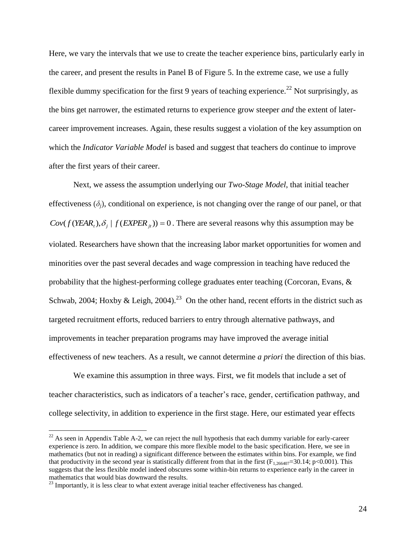Here, we vary the intervals that we use to create the teacher experience bins, particularly early in the career, and present the results in Panel B of Figure 5. In the extreme case, we use a fully flexible dummy specification for the first 9 years of teaching experience.<sup>22</sup> Not surprisingly, as the bins get narrower, the estimated returns to experience grow steeper *and* the extent of latercareer improvement increases. Again, these results suggest a violation of the key assumption on which the *Indicator Variable Model* is based and suggest that teachers do continue to improve after the first years of their career.

Next, we assess the assumption underlying our *Two-Stage Model*, that initial teacher effectiveness  $(\delta_i)$ , conditional on experience, is not changing over the range of our panel, or that  $Cov(f(YEAR<sub>t</sub>), \delta<sub>j</sub> | f(EXPER<sub>j<sub>t</sub></sub>) = 0$ . There are several reasons why this assumption may be violated. Researchers have shown that the increasing labor market opportunities for women and minorities over the past several decades and wage compression in teaching have reduced the probability that the highest-performing college graduates enter teaching (Corcoran, Evans, & Schwab, 2004; Hoxby & Leigh, 2004).<sup>23</sup> On the other hand, recent efforts in the district such as targeted recruitment efforts, reduced barriers to entry through alternative pathways, and improvements in teacher preparation programs may have improved the average initial effectiveness of new teachers. As a result, we cannot determine *a priori* the direction of this bias.

We examine this assumption in three ways. First, we fit models that include a set of teacher characteristics, such as indicators of a teacher's race, gender, certification pathway, and college selectivity, in addition to experience in the first stage. Here, our estimated year effects

 $^{22}$  As seen in Appendix Table A-2, we can reject the null hypothesis that each dummy variable for early-career experience is zero. In addition, we compare this more flexible model to the basic specification. Here, we see in mathematics (but not in reading) a significant difference between the estimates within bins. For example, we find that productivity in the second year is statistically different from that in the first  $(F_{1,266407}=30.14; p<0.001)$ . This suggests that the less flexible model indeed obscures some within-bin returns to experience early in the career in mathematics that would bias downward the results.

 $23$  Importantly, it is less clear to what extent average initial teacher effectiveness has changed.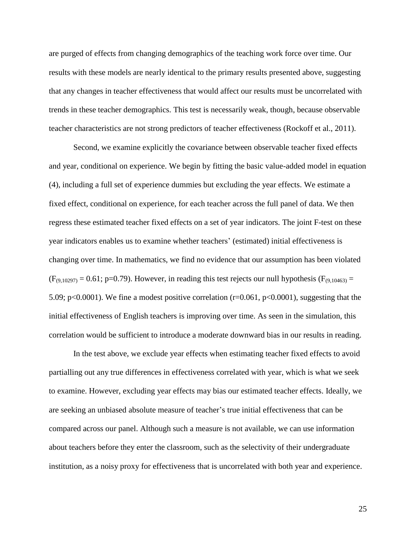are purged of effects from changing demographics of the teaching work force over time. Our results with these models are nearly identical to the primary results presented above, suggesting that any changes in teacher effectiveness that would affect our results must be uncorrelated with trends in these teacher demographics. This test is necessarily weak, though, because observable teacher characteristics are not strong predictors of teacher effectiveness (Rockoff et al., 2011).

Second, we examine explicitly the covariance between observable teacher fixed effects and year, conditional on experience. We begin by fitting the basic value-added model in equation (4), including a full set of experience dummies but excluding the year effects. We estimate a fixed effect, conditional on experience, for each teacher across the full panel of data. We then regress these estimated teacher fixed effects on a set of year indicators. The joint F-test on these year indicators enables us to examine whether teachers' (estimated) initial effectiveness is changing over time. In mathematics, we find no evidence that our assumption has been violated  $(F_{(9,10297)} = 0.61$ ; p=0.79). However, in reading this test rejects our null hypothesis ( $F_{(9,10463)} =$ 5.09; p<0.0001). We fine a modest positive correlation (r=0.061, p<0.0001), suggesting that the initial effectiveness of English teachers is improving over time. As seen in the simulation, this correlation would be sufficient to introduce a moderate downward bias in our results in reading.

In the test above, we exclude year effects when estimating teacher fixed effects to avoid partialling out any true differences in effectiveness correlated with year, which is what we seek to examine. However, excluding year effects may bias our estimated teacher effects. Ideally, we are seeking an unbiased absolute measure of teacher's true initial effectiveness that can be compared across our panel. Although such a measure is not available, we can use information about teachers before they enter the classroom, such as the selectivity of their undergraduate institution, as a noisy proxy for effectiveness that is uncorrelated with both year and experience.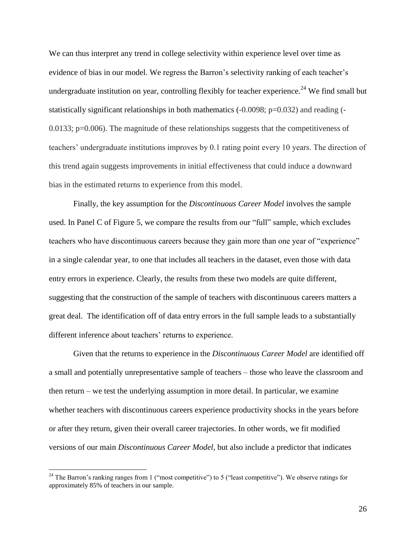We can thus interpret any trend in college selectivity within experience level over time as evidence of bias in our model. We regress the Barron's selectivity ranking of each teacher's undergraduate institution on year, controlling flexibly for teacher experience.<sup>24</sup> We find small but statistically significant relationships in both mathematics  $(-0.0098; p=0.032)$  and reading  $(-0.0098; p=0.032)$ 0.0133; p=0.006). The magnitude of these relationships suggests that the competitiveness of teachers' undergraduate institutions improves by 0.1 rating point every 10 years. The direction of this trend again suggests improvements in initial effectiveness that could induce a downward bias in the estimated returns to experience from this model.

Finally, the key assumption for the *Discontinuous Career Model* involves the sample used. In Panel C of Figure 5, we compare the results from our "full" sample, which excludes teachers who have discontinuous careers because they gain more than one year of "experience" in a single calendar year, to one that includes all teachers in the dataset, even those with data entry errors in experience. Clearly, the results from these two models are quite different, suggesting that the construction of the sample of teachers with discontinuous careers matters a great deal. The identification off of data entry errors in the full sample leads to a substantially different inference about teachers' returns to experience.

Given that the returns to experience in the *Discontinuous Career Model* are identified off a small and potentially unrepresentative sample of teachers – those who leave the classroom and then return – we test the underlying assumption in more detail. In particular, we examine whether teachers with discontinuous careers experience productivity shocks in the years before or after they return, given their overall career trajectories. In other words, we fit modified versions of our main *Discontinuous Career Model*, but also include a predictor that indicates

<sup>&</sup>lt;sup>24</sup> The Barron's ranking ranges from 1 ("most competitive") to 5 ("least competitive"). We observe ratings for approximately 85% of teachers in our sample.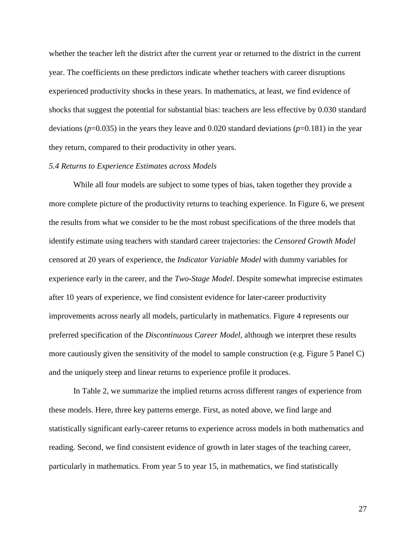whether the teacher left the district after the current year or returned to the district in the current year. The coefficients on these predictors indicate whether teachers with career disruptions experienced productivity shocks in these years. In mathematics, at least, we find evidence of shocks that suggest the potential for substantial bias: teachers are less effective by 0.030 standard deviations (*p*=0.035) in the years they leave and 0.020 standard deviations (*p*=0.181) in the year they return, compared to their productivity in other years.

#### *5.4 Returns to Experience Estimates across Models*

While all four models are subject to some types of bias, taken together they provide a more complete picture of the productivity returns to teaching experience. In Figure 6, we present the results from what we consider to be the most robust specifications of the three models that identify estimate using teachers with standard career trajectories: the *Censored Growth Model* censored at 20 years of experience, the *Indicator Variable Model* with dummy variables for experience early in the career, and the *Two-Stage Model*. Despite somewhat imprecise estimates after 10 years of experience, we find consistent evidence for later-career productivity improvements across nearly all models, particularly in mathematics. Figure 4 represents our preferred specification of the *Discontinuous Career Model*, although we interpret these results more cautiously given the sensitivity of the model to sample construction (e.g. Figure 5 Panel C) and the uniquely steep and linear returns to experience profile it produces.

In Table 2, we summarize the implied returns across different ranges of experience from these models. Here, three key patterns emerge. First, as noted above, we find large and statistically significant early-career returns to experience across models in both mathematics and reading. Second, we find consistent evidence of growth in later stages of the teaching career, particularly in mathematics. From year 5 to year 15, in mathematics, we find statistically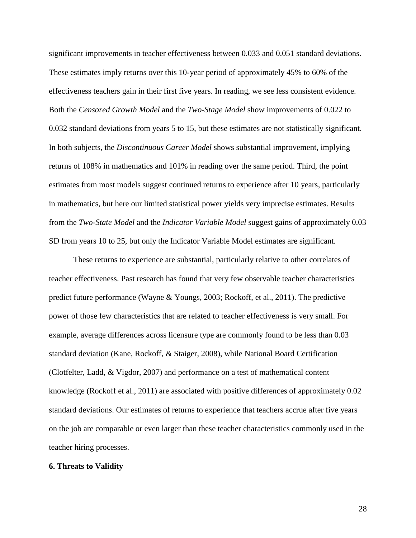significant improvements in teacher effectiveness between 0.033 and 0.051 standard deviations. These estimates imply returns over this 10-year period of approximately 45% to 60% of the effectiveness teachers gain in their first five years. In reading, we see less consistent evidence. Both the *Censored Growth Model* and the *Two-Stage Model* show improvements of 0.022 to 0.032 standard deviations from years 5 to 15, but these estimates are not statistically significant. In both subjects, the *Discontinuous Career Model* shows substantial improvement, implying returns of 108% in mathematics and 101% in reading over the same period. Third, the point estimates from most models suggest continued returns to experience after 10 years, particularly in mathematics, but here our limited statistical power yields very imprecise estimates. Results from the *Two-State Model* and the *Indicator Variable Model* suggest gains of approximately 0.03 SD from years 10 to 25, but only the Indicator Variable Model estimates are significant*.*

These returns to experience are substantial, particularly relative to other correlates of teacher effectiveness. Past research has found that very few observable teacher characteristics predict future performance (Wayne & Youngs, 2003; Rockoff, et al., 2011). The predictive power of those few characteristics that are related to teacher effectiveness is very small. For example, average differences across licensure type are commonly found to be less than 0.03 standard deviation (Kane, Rockoff, & Staiger, 2008), while National Board Certification (Clotfelter, Ladd, & Vigdor, 2007) and performance on a test of mathematical content knowledge (Rockoff et al., 2011) are associated with positive differences of approximately 0.02 standard deviations. Our estimates of returns to experience that teachers accrue after five years on the job are comparable or even larger than these teacher characteristics commonly used in the teacher hiring processes.

#### **6. Threats to Validity**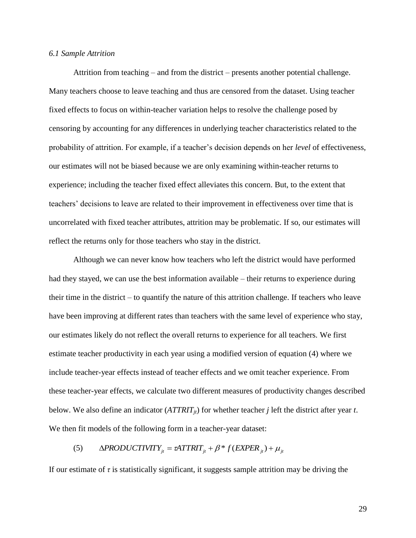#### *6.1 Sample Attrition*

Attrition from teaching – and from the district – presents another potential challenge. Many teachers choose to leave teaching and thus are censored from the dataset. Using teacher fixed effects to focus on within-teacher variation helps to resolve the challenge posed by censoring by accounting for any differences in underlying teacher characteristics related to the probability of attrition. For example, if a teacher's decision depends on her *level* of effectiveness, our estimates will not be biased because we are only examining within-teacher returns to experience; including the teacher fixed effect alleviates this concern. But, to the extent that teachers' decisions to leave are related to their improvement in effectiveness over time that is uncorrelated with fixed teacher attributes, attrition may be problematic. If so, our estimates will reflect the returns only for those teachers who stay in the district.

Although we can never know how teachers who left the district would have performed had they stayed, we can use the best information available – their returns to experience during their time in the district – to quantify the nature of this attrition challenge. If teachers who leave have been improving at different rates than teachers with the same level of experience who stay, our estimates likely do not reflect the overall returns to experience for all teachers. We first estimate teacher productivity in each year using a modified version of equation (4) where we include teacher-year effects instead of teacher effects and we omit teacher experience. From these teacher-year effects, we calculate two different measures of productivity changes described below. We also define an indicator  $(ATTRIT_{it})$  for whether teacher *j* left the district after year *t*. We then fit models of the following form in a teacher-year dataset:

#### (5)  $\triangle PRODUCTIVITY$ <sub>*it*</sub> =  $\alpha$ ATTRIT<sub>*it*</sub></sub> +  $\beta$ <sup>\*</sup>  $f$ (EXPER<sub>*it*</sub>) +  $\mu$ <sub>*it*</sub>

If our estimate of  $\tau$  is statistically significant, it suggests sample attrition may be driving the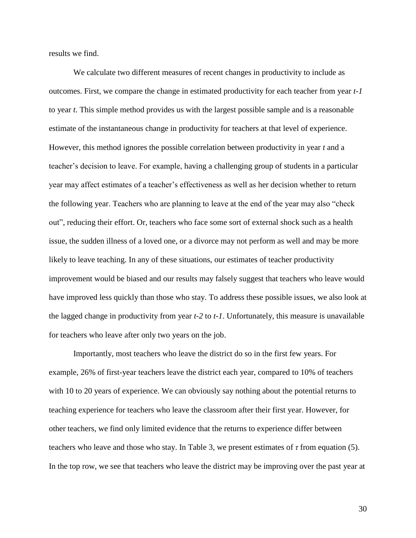results we find.

We calculate two different measures of recent changes in productivity to include as outcomes. First, we compare the change in estimated productivity for each teacher from year *t-1* to year *t*. This simple method provides us with the largest possible sample and is a reasonable estimate of the instantaneous change in productivity for teachers at that level of experience. However, this method ignores the possible correlation between productivity in year *t* and a teacher's decision to leave. For example, having a challenging group of students in a particular year may affect estimates of a teacher's effectiveness as well as her decision whether to return the following year. Teachers who are planning to leave at the end of the year may also "check out", reducing their effort. Or, teachers who face some sort of external shock such as a health issue, the sudden illness of a loved one, or a divorce may not perform as well and may be more likely to leave teaching. In any of these situations, our estimates of teacher productivity improvement would be biased and our results may falsely suggest that teachers who leave would have improved less quickly than those who stay. To address these possible issues, we also look at the lagged change in productivity from year *t-2* to *t-1*. Unfortunately, this measure is unavailable for teachers who leave after only two years on the job.

Importantly, most teachers who leave the district do so in the first few years. For example, 26% of first-year teachers leave the district each year, compared to 10% of teachers with 10 to 20 years of experience. We can obviously say nothing about the potential returns to teaching experience for teachers who leave the classroom after their first year. However, for other teachers, we find only limited evidence that the returns to experience differ between teachers who leave and those who stay. In Table 3, we present estimates of *τ* from equation (5). In the top row, we see that teachers who leave the district may be improving over the past year at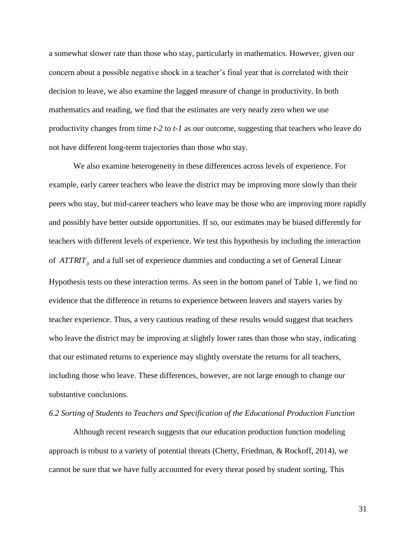a somewhat slower rate than those who stay, particularly in mathematics. However, given our concern about a possible negative shock in a teacher's final year that is correlated with their decision to leave, we also examine the lagged measure of change in productivity. In both mathematics and reading, we find that the estimates are very nearly zero when we use productivity changes from time *t-2* to *t-1* as our outcome, suggesting that teachers who leave do not have different long-term trajectories than those who stay.

We also examine heterogeneity in these differences across levels of experience. For example, early career teachers who leave the district may be improving more slowly than their peers who stay, but mid-career teachers who leave may be those who are improving more rapidly and possibly have better outside opportunities. If so, our estimates may be biased differently for teachers with different levels of experience. We test this hypothesis by including the interaction of *ATTRIT<sub>jt</sub>* and a full set of experience dummies and conducting a set of General Linear Hypothesis tests on these interaction terms. As seen in the bottom panel of Table 1, we find no evidence that the difference in returns to experience between leavers and stayers varies by teacher experience. Thus, a very cautious reading of these results would suggest that teachers who leave the district may be improving at slightly lower rates than those who stay, indicating that our estimated returns to experience may slightly overstate the returns for all teachers, including those who leave. These differences, however, are not large enough to change our substantive conclusions.

### *6.2 Sorting of Students to Teachers and Specification of the Educational Production Function*

Although recent research suggests that our education production function modeling approach is robust to a variety of potential threats (Chetty, Friedman, & Rockoff, 2014), we cannot be sure that we have fully accounted for every threat posed by student sorting. This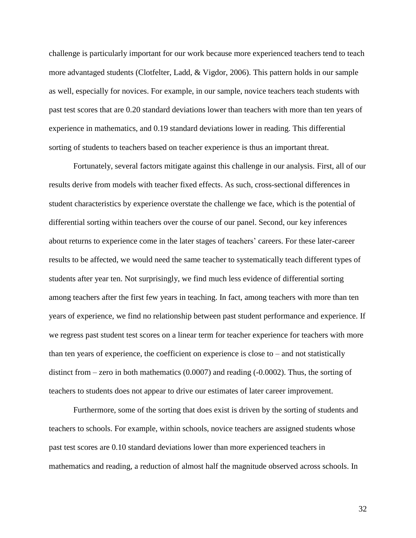challenge is particularly important for our work because more experienced teachers tend to teach more advantaged students (Clotfelter, Ladd, & Vigdor, 2006). This pattern holds in our sample as well, especially for novices. For example, in our sample, novice teachers teach students with past test scores that are 0.20 standard deviations lower than teachers with more than ten years of experience in mathematics, and 0.19 standard deviations lower in reading. This differential sorting of students to teachers based on teacher experience is thus an important threat.

Fortunately, several factors mitigate against this challenge in our analysis. First, all of our results derive from models with teacher fixed effects. As such, cross-sectional differences in student characteristics by experience overstate the challenge we face, which is the potential of differential sorting within teachers over the course of our panel. Second, our key inferences about returns to experience come in the later stages of teachers' careers. For these later-career results to be affected, we would need the same teacher to systematically teach different types of students after year ten. Not surprisingly, we find much less evidence of differential sorting among teachers after the first few years in teaching. In fact, among teachers with more than ten years of experience, we find no relationship between past student performance and experience. If we regress past student test scores on a linear term for teacher experience for teachers with more than ten years of experience, the coefficient on experience is close to – and not statistically distinct from – zero in both mathematics (0.0007) and reading (-0.0002). Thus, the sorting of teachers to students does not appear to drive our estimates of later career improvement.

Furthermore, some of the sorting that does exist is driven by the sorting of students and teachers to schools. For example, within schools, novice teachers are assigned students whose past test scores are 0.10 standard deviations lower than more experienced teachers in mathematics and reading, a reduction of almost half the magnitude observed across schools. In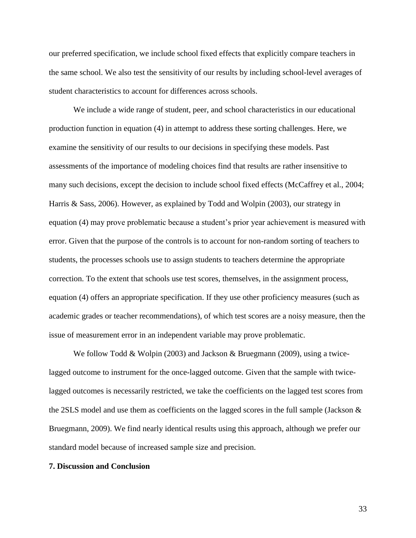our preferred specification, we include school fixed effects that explicitly compare teachers in the same school. We also test the sensitivity of our results by including school-level averages of student characteristics to account for differences across schools.

We include a wide range of student, peer, and school characteristics in our educational production function in equation (4) in attempt to address these sorting challenges. Here, we examine the sensitivity of our results to our decisions in specifying these models. Past assessments of the importance of modeling choices find that results are rather insensitive to many such decisions, except the decision to include school fixed effects (McCaffrey et al., 2004; Harris & Sass, 2006). However, as explained by Todd and Wolpin (2003), our strategy in equation (4) may prove problematic because a student's prior year achievement is measured with error. Given that the purpose of the controls is to account for non-random sorting of teachers to students, the processes schools use to assign students to teachers determine the appropriate correction. To the extent that schools use test scores, themselves, in the assignment process, equation (4) offers an appropriate specification. If they use other proficiency measures (such as academic grades or teacher recommendations), of which test scores are a noisy measure, then the issue of measurement error in an independent variable may prove problematic.

We follow Todd & Wolpin (2003) and Jackson & Bruegmann (2009), using a twicelagged outcome to instrument for the once-lagged outcome. Given that the sample with twicelagged outcomes is necessarily restricted, we take the coefficients on the lagged test scores from the 2SLS model and use them as coefficients on the lagged scores in the full sample (Jackson & Bruegmann, 2009). We find nearly identical results using this approach, although we prefer our standard model because of increased sample size and precision.

#### **7. Discussion and Conclusion**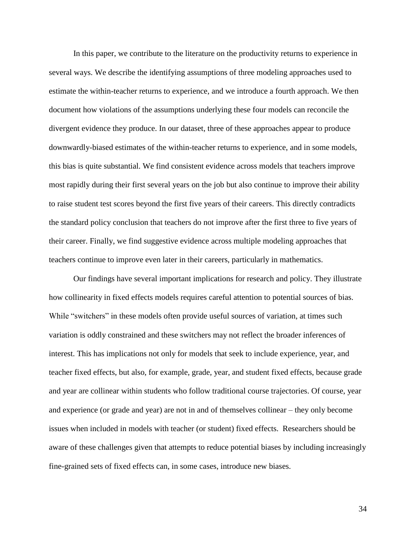In this paper, we contribute to the literature on the productivity returns to experience in several ways. We describe the identifying assumptions of three modeling approaches used to estimate the within-teacher returns to experience, and we introduce a fourth approach. We then document how violations of the assumptions underlying these four models can reconcile the divergent evidence they produce. In our dataset, three of these approaches appear to produce downwardly-biased estimates of the within-teacher returns to experience, and in some models, this bias is quite substantial. We find consistent evidence across models that teachers improve most rapidly during their first several years on the job but also continue to improve their ability to raise student test scores beyond the first five years of their careers. This directly contradicts the standard policy conclusion that teachers do not improve after the first three to five years of their career. Finally, we find suggestive evidence across multiple modeling approaches that teachers continue to improve even later in their careers, particularly in mathematics.

Our findings have several important implications for research and policy. They illustrate how collinearity in fixed effects models requires careful attention to potential sources of bias. While "switchers" in these models often provide useful sources of variation, at times such variation is oddly constrained and these switchers may not reflect the broader inferences of interest. This has implications not only for models that seek to include experience, year, and teacher fixed effects, but also, for example, grade, year, and student fixed effects, because grade and year are collinear within students who follow traditional course trajectories. Of course, year and experience (or grade and year) are not in and of themselves collinear – they only become issues when included in models with teacher (or student) fixed effects. Researchers should be aware of these challenges given that attempts to reduce potential biases by including increasingly fine-grained sets of fixed effects can, in some cases, introduce new biases.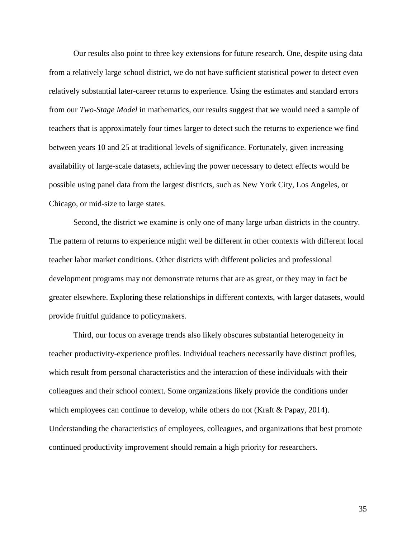Our results also point to three key extensions for future research. One, despite using data from a relatively large school district, we do not have sufficient statistical power to detect even relatively substantial later-career returns to experience. Using the estimates and standard errors from our *Two-Stage Model* in mathematics, our results suggest that we would need a sample of teachers that is approximately four times larger to detect such the returns to experience we find between years 10 and 25 at traditional levels of significance. Fortunately, given increasing availability of large-scale datasets, achieving the power necessary to detect effects would be possible using panel data from the largest districts, such as New York City, Los Angeles, or Chicago, or mid-size to large states.

Second, the district we examine is only one of many large urban districts in the country. The pattern of returns to experience might well be different in other contexts with different local teacher labor market conditions. Other districts with different policies and professional development programs may not demonstrate returns that are as great, or they may in fact be greater elsewhere. Exploring these relationships in different contexts, with larger datasets, would provide fruitful guidance to policymakers.

Third, our focus on average trends also likely obscures substantial heterogeneity in teacher productivity-experience profiles. Individual teachers necessarily have distinct profiles, which result from personal characteristics and the interaction of these individuals with their colleagues and their school context. Some organizations likely provide the conditions under which employees can continue to develop, while others do not (Kraft & Papay, 2014). Understanding the characteristics of employees, colleagues, and organizations that best promote continued productivity improvement should remain a high priority for researchers.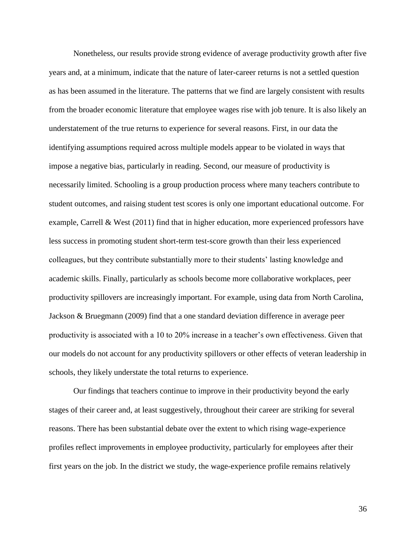Nonetheless, our results provide strong evidence of average productivity growth after five years and, at a minimum, indicate that the nature of later-career returns is not a settled question as has been assumed in the literature. The patterns that we find are largely consistent with results from the broader economic literature that employee wages rise with job tenure. It is also likely an understatement of the true returns to experience for several reasons. First, in our data the identifying assumptions required across multiple models appear to be violated in ways that impose a negative bias, particularly in reading. Second, our measure of productivity is necessarily limited. Schooling is a group production process where many teachers contribute to student outcomes, and raising student test scores is only one important educational outcome. For example, Carrell & West (2011) find that in higher education, more experienced professors have less success in promoting student short-term test-score growth than their less experienced colleagues, but they contribute substantially more to their students' lasting knowledge and academic skills. Finally, particularly as schools become more collaborative workplaces, peer productivity spillovers are increasingly important. For example, using data from North Carolina, Jackson & Bruegmann (2009) find that a one standard deviation difference in average peer productivity is associated with a 10 to 20% increase in a teacher's own effectiveness. Given that our models do not account for any productivity spillovers or other effects of veteran leadership in schools, they likely understate the total returns to experience.

Our findings that teachers continue to improve in their productivity beyond the early stages of their career and, at least suggestively, throughout their career are striking for several reasons. There has been substantial debate over the extent to which rising wage-experience profiles reflect improvements in employee productivity, particularly for employees after their first years on the job. In the district we study, the wage-experience profile remains relatively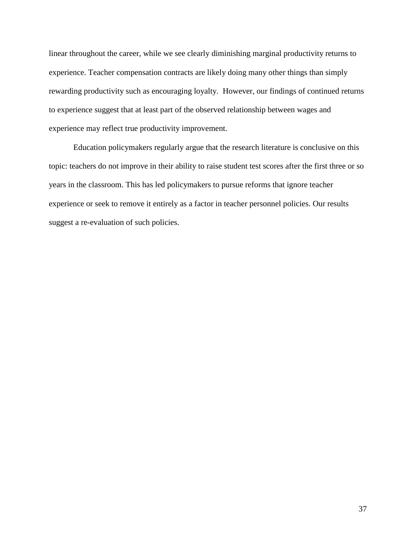linear throughout the career, while we see clearly diminishing marginal productivity returns to experience. Teacher compensation contracts are likely doing many other things than simply rewarding productivity such as encouraging loyalty. However, our findings of continued returns to experience suggest that at least part of the observed relationship between wages and experience may reflect true productivity improvement.

Education policymakers regularly argue that the research literature is conclusive on this topic: teachers do not improve in their ability to raise student test scores after the first three or so years in the classroom. This has led policymakers to pursue reforms that ignore teacher experience or seek to remove it entirely as a factor in teacher personnel policies. Our results suggest a re-evaluation of such policies.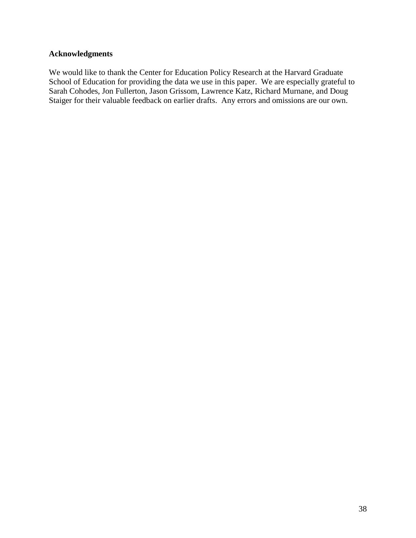# **Acknowledgments**

We would like to thank the Center for Education Policy Research at the Harvard Graduate School of Education for providing the data we use in this paper. We are especially grateful to Sarah Cohodes, Jon Fullerton, Jason Grissom, Lawrence Katz, Richard Murnane, and Doug Staiger for their valuable feedback on earlier drafts. Any errors and omissions are our own.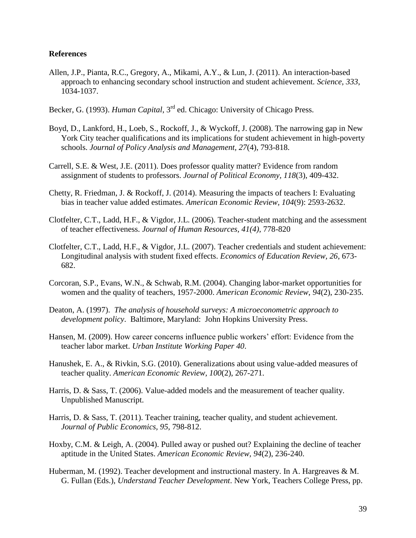### **References**

- Allen, J.P., Pianta, R.C., Gregory, A., Mikami, A.Y., & Lun, J. (2011). An interaction-based approach to enhancing secondary school instruction and student achievement. *Science, 333*, 1034-1037.
- Becker, G. (1993). *Human Capital*, 3rd ed. Chicago: University of Chicago Press.
- Boyd, D., Lankford, H., Loeb, S., Rockoff, J., & Wyckoff, J. (2008). The narrowing gap in New York City teacher qualifications and its implications for student achievement in high-poverty schools. *Journal of Policy Analysis and Management, 27*(4), 793-818.
- Carrell, S.E. & West, J.E. (2011). Does professor quality matter? Evidence from random assignment of students to professors. *Journal of Political Economy, 118*(3), 409-432.
- Chetty, R. Friedman, J. & Rockoff, J. (2014). Measuring the impacts of teachers I: Evaluating bias in teacher value added estimates. *American Economic Review, 104*(9): 2593-2632.
- Clotfelter, C.T., Ladd, H.F., & Vigdor, J.L. (2006). Teacher-student matching and the assessment of teacher effectiveness. *Journal of Human Resources, 41(4),* 778-820
- Clotfelter, C.T., Ladd, H.F., & Vigdor, J.L. (2007). Teacher credentials and student achievement: Longitudinal analysis with student fixed effects. *Economics of Education Review, 26*, 673- 682.
- Corcoran, S.P., Evans, W.N., & Schwab, R.M. (2004). Changing labor-market opportunities for women and the quality of teachers, 1957-2000. *American Economic Review*, *94*(2), 230-235.
- Deaton, A. (1997). *The analysis of household surveys: A microeconometric approach to development policy*. Baltimore, Maryland: John Hopkins University Press.
- Hansen, M. (2009). How career concerns influence public workers' effort: Evidence from the teacher labor market. *Urban Institute Working Paper 40*.
- Hanushek, E. A., & Rivkin, S.G. (2010). Generalizations about using value-added measures of teacher quality. *American Economic Review, 100*(2), 267-271.
- Harris, D. & Sass, T. (2006). Value-added models and the measurement of teacher quality. Unpublished Manuscript.
- Harris, D. & Sass, T. (2011). Teacher training, teacher quality, and student achievement. *Journal of Public Economics, 95*, 798-812.
- Hoxby, C.M. & Leigh, A. (2004). Pulled away or pushed out? Explaining the decline of teacher aptitude in the United States. *American Economic Review, 94*(2), 236-240.
- Huberman, M. (1992). Teacher development and instructional mastery. In A. Hargreaves & M. G. Fullan (Eds.), *Understand Teacher Development*. New York, Teachers College Press, pp.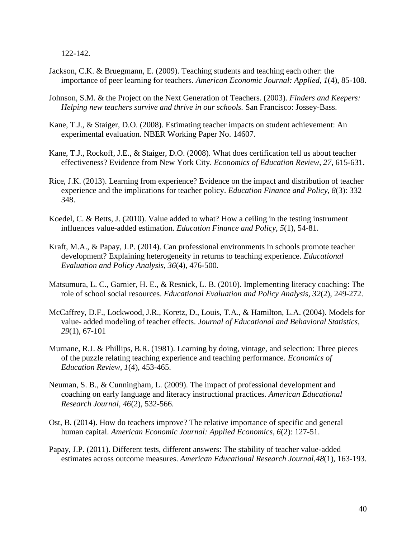122-142.

- Jackson, C.K. & Bruegmann, E. (2009). Teaching students and teaching each other: the importance of peer learning for teachers. *American Economic Journal: Applied*, *1*(4), 85-108.
- Johnson, S.M. & the Project on the Next Generation of Teachers. (2003). *Finders and Keepers: Helping new teachers survive and thrive in our schools.* San Francisco: Jossey-Bass.
- Kane, T.J., & Staiger, D.O. (2008). Estimating teacher impacts on student achievement: An experimental evaluation. NBER Working Paper No. 14607.
- Kane, T.J., Rockoff, J.E., & Staiger, D.O. (2008). What does certification tell us about teacher effectiveness? Evidence from New York City. *Economics of Education Review, 27*, 615-631.
- Rice, J.K. (2013). Learning from experience? Evidence on the impact and distribution of teacher experience and the implications for teacher policy. *Education Finance and Policy, 8*(3): 332– 348.
- Koedel, C. & Betts, J. (2010). Value added to what? How a ceiling in the testing instrument influences value-added estimation. *Education Finance and Policy, 5*(1), 54-81.
- Kraft, M.A., & Papay, J.P. (2014). Can professional environments in schools promote teacher development? Explaining heterogeneity in returns to teaching experience. *Educational Evaluation and Policy Analysis, 36*(4), 476-500*.*
- Matsumura, L. C., Garnier, H. E., & Resnick, L. B. (2010). Implementing literacy coaching: The role of school social resources. *Educational Evaluation and Policy Analysis, 32*(2), 249-272.
- McCaffrey, D.F., Lockwood, J.R., Koretz, D., Louis, T.A., & Hamilton, L.A. (2004). Models for value- added modeling of teacher effects. *Journal of Educational and Behavioral Statistics*, *29*(1), 67-101
- Murnane, R.J. & Phillips, B.R. (1981). Learning by doing, vintage, and selection: Three pieces of the puzzle relating teaching experience and teaching performance. *Economics of Education Review, 1*(4), 453-465.
- Neuman, S. B., & Cunningham, L. (2009). The impact of professional development and coaching on early language and literacy instructional practices. *American Educational Research Journal, 46*(2), 532-566.
- Ost, B. (2014). How do teachers improve? The relative importance of specific and general human capital. *American Economic Journal: Applied Economics, 6*(2): 127-51.
- Papay, J.P. (2011). Different tests, different answers: The stability of teacher value-added estimates across outcome measures. *American Educational Research Journal,48*(1), 163-193.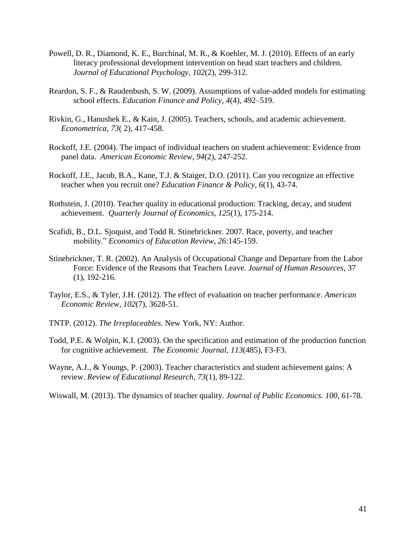- Powell, D. R., Diamond, K. E., Burchinal, M. R., & Koehler, M. J. (2010). Effects of an early literacy professional development intervention on head start teachers and children. *Journal of Educational Psychology, 102*(2), 299-312.
- Reardon, S. F., & Raudenbush, S. W. (2009). Assumptions of value-added models for estimating school effects. *Education Finance and Policy, 4*(4), 492–519.
- Rivkin, G., Hanushek E., & Kain, J. (2005). Teachers, schools, and academic achievement. *Econometrica*, *73*( 2), 417-458.
- Rockoff, J.E. (2004). The impact of individual teachers on student achievement: Evidence from panel data. *American Economic Review*, *94*(2), 247-252.
- Rockoff, J.E., Jacob, B.A., Kane, T.J. & Staiger, D.O. (2011). Can you recognize an effective teacher when you recruit one? *Education Finance & Policy, 6*(1), 43-74.
- Rothstein, J. (2010). Teacher quality in educational production: Tracking, decay, and student achievement. *Quarterly Journal of Economics*, *125*(1), 175-214.
- Scafidi, B., D.L. Sjoquist, and Todd R. Stinebrickner. 2007. Race, poverty, and teacher mobility." *Economics of Education Review, 26*:145-159.
- Stinebrickner, T. R. (2002). An Analysis of Occupational Change and Departure from the Labor Force: Evidence of the Reasons that Teachers Leave. *Journal of Human Resources,* 37 (1), 192-216.
- Taylor, E.S., & Tyler, J.H. (2012). The effect of evaluation on teacher performance. *American Economic Review, 102*(7), 3628-51.
- TNTP. (2012). *The Irreplaceables*. New York, NY: Author.
- Todd, P.E. & Wolpin, K.I. (2003). On the specification and estimation of the production function for cognitive achievement. *The Economic Journal*, *113*(485), F3-F3.
- Wayne, A.J., & Youngs, P. (2003). Teacher characteristics and student achievement gains: A review. *Review of Educational Research, 73*(1), 89-122.
- Wiswall, M. (2013). The dynamics of teacher quality. *Journal of Public Economics*. *100*, 61-78.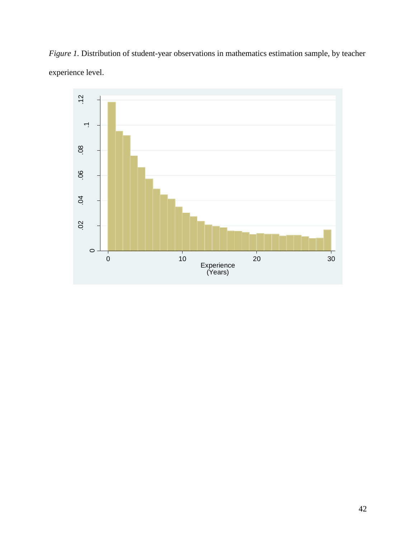*Figure 1*. Distribution of student-year observations in mathematics estimation sample, by teacher experience level.

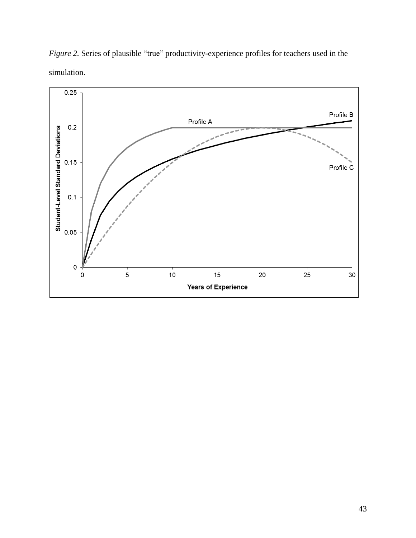

*Figure 2.* Series of plausible "true" productivity-experience profiles for teachers used in the simulation.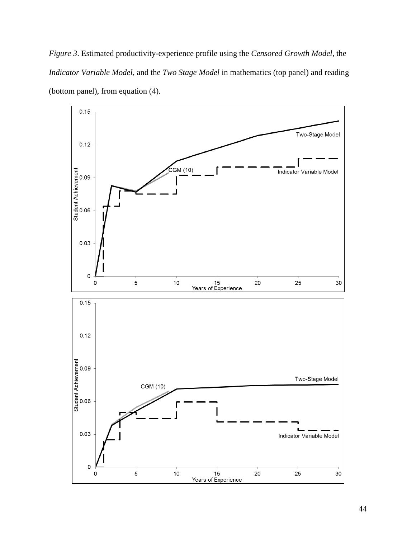*Figure 3*. Estimated productivity-experience profile using the *Censored Growth Model*, the *Indicator Variable Model*, and the *Two Stage Model* in mathematics (top panel) and reading (bottom panel), from equation (4).

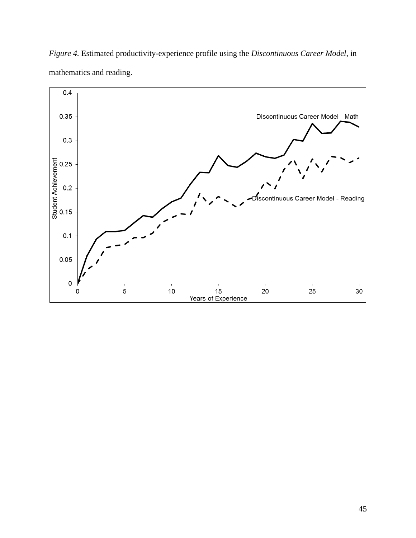

*Figure 4.* Estimated productivity-experience profile using the *Discontinuous Career Model*, in mathematics and reading.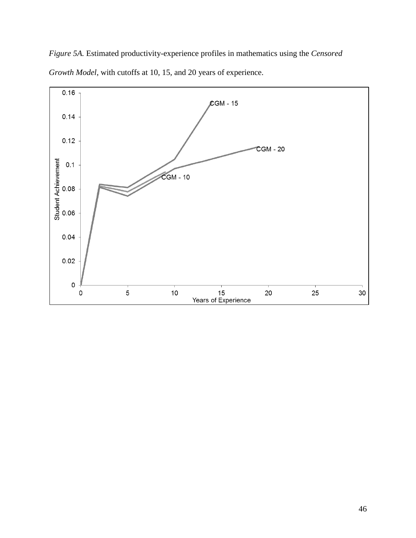*Figure 5A.* Estimated productivity-experience profiles in mathematics using the *Censored Growth Model*, with cutoffs at 10, 15, and 20 years of experience.

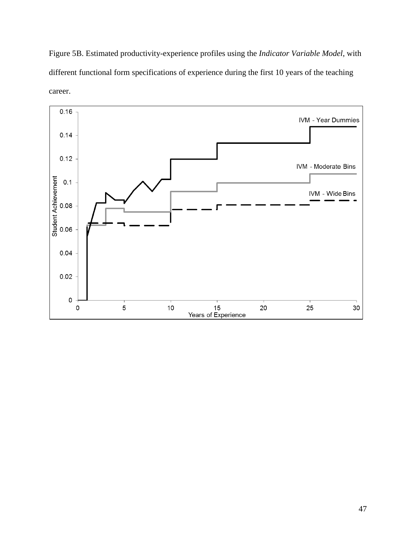Figure 5B. Estimated productivity-experience profiles using the *Indicator Variable Model*, with different functional form specifications of experience during the first 10 years of the teaching career.

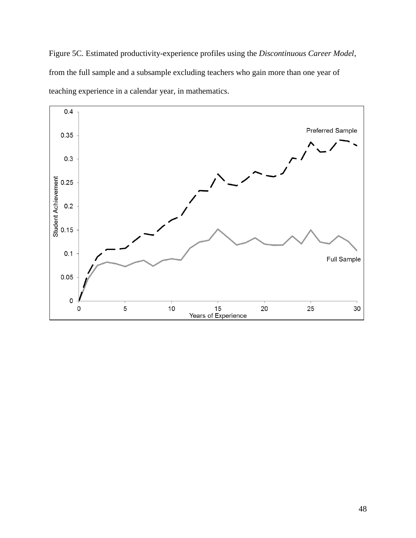Figure 5C. Estimated productivity-experience profiles using the *Discontinuous Career Model*, from the full sample and a subsample excluding teachers who gain more than one year of teaching experience in a calendar year, in mathematics.

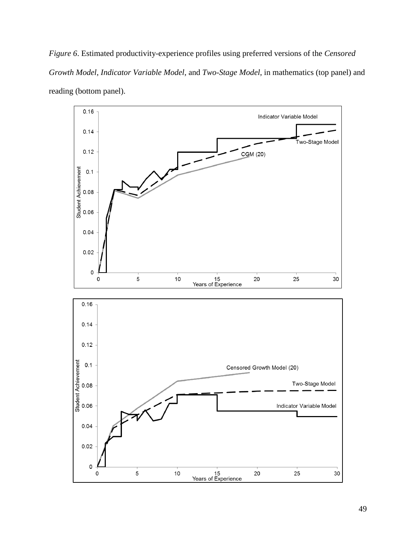*Figure 6*. Estimated productivity-experience profiles using preferred versions of the *Censored Growth Model*, *Indicator Variable Model*, and *Two-Stage Model*, in mathematics (top panel) and reading (bottom panel).

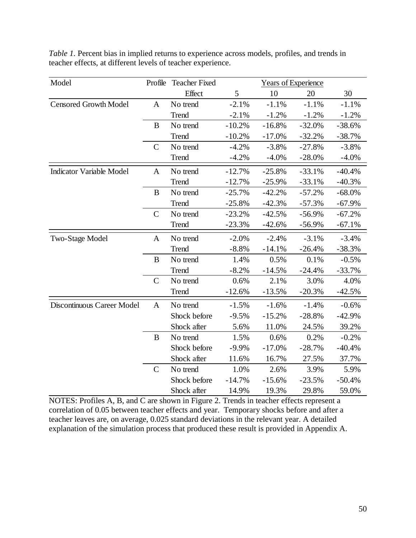| Model                           | Profile       | <b>Teacher Fixed</b> | <b>Years of Experience</b> |          |           |          |
|---------------------------------|---------------|----------------------|----------------------------|----------|-----------|----------|
|                                 |               | Effect               | 5                          | 10       | 20        | 30       |
| <b>Censored Growth Model</b>    | $\mathbf{A}$  | No trend             | $-2.1%$                    | $-1.1%$  | $-1.1%$   | $-1.1%$  |
|                                 |               | Trend                | $-2.1%$                    | $-1.2%$  | $-1.2%$   | $-1.2%$  |
|                                 | B             | No trend             | $-10.2%$                   | $-16.8%$ | $-32.0%$  | $-38.6%$ |
|                                 |               | Trend                | $-10.2%$                   | $-17.0%$ | $-32.2%$  | $-38.7%$ |
|                                 | $\mathsf{C}$  | No trend             | $-4.2%$                    | $-3.8%$  | $-27.8%$  | $-3.8%$  |
|                                 |               | Trend                | $-4.2%$                    | $-4.0%$  | $-28.0\%$ | $-4.0%$  |
| <b>Indicator Variable Model</b> | A             | No trend             | $-12.7%$                   | $-25.8%$ | $-33.1%$  | $-40.4%$ |
|                                 |               | <b>Trend</b>         | $-12.7%$                   | $-25.9%$ | $-33.1%$  | $-40.3%$ |
|                                 | B             | No trend             | $-25.7%$                   | $-42.2%$ | $-57.2%$  | $-68.0%$ |
|                                 |               | Trend                | $-25.8%$                   | $-42.3%$ | $-57.3%$  | $-67.9%$ |
|                                 | $\mathcal{C}$ | No trend             | $-23.2%$                   | $-42.5%$ | $-56.9%$  | $-67.2%$ |
|                                 |               | Trend                | $-23.3%$                   | $-42.6%$ | $-56.9%$  | $-67.1%$ |
| Two-Stage Model                 | $\mathbf{A}$  | No trend             | $-2.0%$                    | $-2.4%$  | $-3.1%$   | $-3.4%$  |
|                                 |               | Trend                | $-8.8%$                    | $-14.1%$ | $-26.4%$  | $-38.3%$ |
|                                 | B             | No trend             | 1.4%                       | 0.5%     | 0.1%      | $-0.5%$  |
|                                 |               | Trend                | $-8.2%$                    | $-14.5%$ | $-24.4%$  | $-33.7%$ |
|                                 | $\mathbf C$   | No trend             | 0.6%                       | 2.1%     | 3.0%      | 4.0%     |
|                                 |               | <b>Trend</b>         | $-12.6%$                   | $-13.5%$ | $-20.3%$  | $-42.5%$ |
| Discontinuous Career Model      | $\mathbf{A}$  | No trend             | $-1.5%$                    | $-1.6%$  | $-1.4%$   | $-0.6%$  |
|                                 |               | Shock before         | $-9.5%$                    | $-15.2%$ | $-28.8%$  | $-42.9%$ |
|                                 |               | Shock after          | 5.6%                       | 11.0%    | 24.5%     | 39.2%    |
|                                 | B             | No trend             | 1.5%                       | 0.6%     | 0.2%      | $-0.2%$  |
|                                 |               | Shock before         | $-9.9%$                    | $-17.0%$ | $-28.7%$  | $-40.4%$ |
|                                 |               | Shock after          | 11.6%                      | 16.7%    | 27.5%     | 37.7%    |
|                                 | $\mathbf C$   | No trend             | 1.0%                       | 2.6%     | 3.9%      | 5.9%     |
|                                 |               | Shock before         | $-14.7%$                   | $-15.6%$ | $-23.5%$  | $-50.4%$ |
|                                 |               | Shock after          | 14.9%                      | 19.3%    | 29.8%     | 59.0%    |

*Table 1.* Percent bias in implied returns to experience across models, profiles, and trends in teacher effects, at different levels of teacher experience.

NOTES: Profiles A, B, and C are shown in Figure 2. Trends in teacher effects represent a correlation of 0.05 between teacher effects and year. Temporary shocks before and after a teacher leaves are, on average, 0.025 standard deviations in the relevant year. A detailed explanation of the simulation process that produced these result is provided in Appendix A.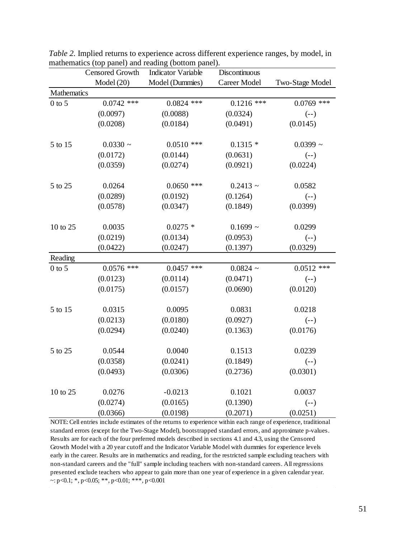|              | <b>Censored Growth</b> | <b>Indicator Variable</b> | Discontinuous |                 |
|--------------|------------------------|---------------------------|---------------|-----------------|
|              | Model (20)             | Model (Dummies)           | Career Model  | Two-Stage Model |
| Mathematics  |                        |                           |               |                 |
| $0$ to $5\,$ | $0.0742$ ***           | $0.0824$ ***              | $0.1216$ ***  | $0.0769$ ***    |
|              | (0.0097)               | (0.0088)                  | (0.0324)      | $(--)$          |
|              | (0.0208)               | (0.0184)                  | (0.0491)      | (0.0145)        |
| 5 to 15      | $0.0330 -$             | $0.0510$ ***              | $0.1315*$     | $0.0399$ ~      |
|              | (0.0172)               | (0.0144)                  | (0.0631)      | $(--)$          |
|              | (0.0359)               | (0.0274)                  | (0.0921)      | (0.0224)        |
| 5 to 25      | 0.0264                 | $0.0650$ ***              | $0.2413 \sim$ | 0.0582          |
|              | (0.0289)               | (0.0192)                  | (0.1264)      | $(--)$          |
|              | (0.0578)               | (0.0347)                  | (0.1849)      | (0.0399)        |
| 10 to 25     | 0.0035                 | $0.0275$ *                | $0.1699$ ~    | 0.0299          |
|              | (0.0219)               | (0.0134)                  | (0.0953)      | $(- - )$        |
|              | (0.0422)               | (0.0247)                  | (0.1397)      | (0.0329)        |
| Reading      |                        |                           |               |                 |
| $0$ to $5\,$ | $0.0576$ ***           | $0.0457$ ***              | $0.0824$ ~    | $0.0512$ ***    |
|              | (0.0123)               | (0.0114)                  | (0.0471)      | $(-)$           |
|              | (0.0175)               | (0.0157)                  | (0.0690)      | (0.0120)        |
| 5 to 15      | 0.0315                 | 0.0095                    | 0.0831        | 0.0218          |
|              | (0.0213)               | (0.0180)                  | (0.0927)      | $(--)$          |
|              | (0.0294)               | (0.0240)                  | (0.1363)      | (0.0176)        |
| 5 to 25      | 0.0544                 | 0.0040                    | 0.1513        | 0.0239          |
|              | (0.0358)               | (0.0241)                  | (0.1849)      | $(- - )$        |
|              | (0.0493)               | (0.0306)                  | (0.2736)      | (0.0301)        |
| 10 to 25     | 0.0276                 | $-0.0213$                 | 0.1021        | 0.0037          |
|              | (0.0274)               | (0.0165)                  | (0.1390)      | $(--)$          |
|              | (0.0366)               | (0.0198)                  | (0.2071)      | (0.0251)        |

*Table 2.* Implied returns to experience across different experience ranges, by model, in mathematics (top panel) and reading (bottom panel).

NOTE: Cell entries include estimates of the returns to experience within each range of experience, traditional standard errors (except for the Two-Stage Model), bootstrapped standard errors, and approximate p-values. Results are for each of the four preferred models described in sections 4.1 and 4.3, using the Censored Growth Model with a 20 year cutoff and the Indicator Variable Model with dummies for experience levels early in the career. Results are in mathematics and reading, for the restricted sample excluding teachers with non-standard careers and the "full" sample including teachers with non-standard careers. All regressions presented exclude teachers who appear to gain more than one year of experience in a given calendar year. ~:  $p < 0.1$ ; \*,  $p < 0.05$ ; \*\*,  $p < 0.01$ ; \*\*\*,  $p < 0.001$